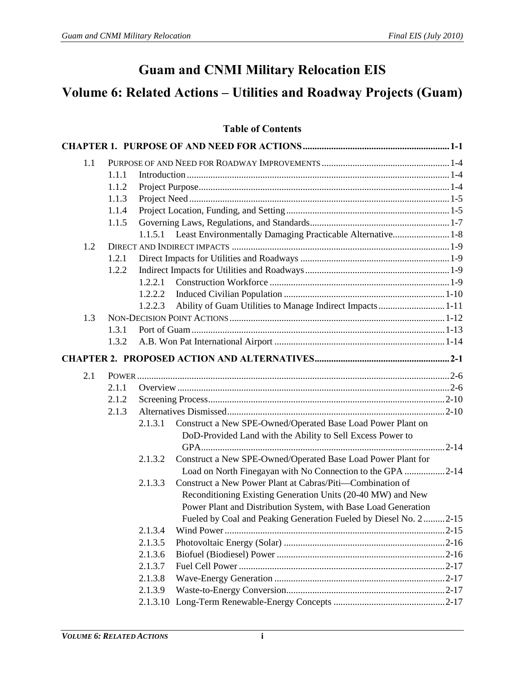## **Guam and CNMI Military Relocation EIS**

# **Volume 6: Related Actions – Utilities and Roadway Projects (Guam)**

### **Table of Contents**

| 1.1 |       |                                                                         |  |
|-----|-------|-------------------------------------------------------------------------|--|
|     | 1.1.1 |                                                                         |  |
|     | 1.1.2 |                                                                         |  |
|     | 1.1.3 |                                                                         |  |
|     | 1.1.4 |                                                                         |  |
|     | 1.1.5 |                                                                         |  |
|     |       | Least Environmentally Damaging Practicable Alternative 1-8<br>1.1.5.1   |  |
| 1.2 |       |                                                                         |  |
|     | 1.2.1 |                                                                         |  |
|     | 1.2.2 |                                                                         |  |
|     |       | 1.2.2.1                                                                 |  |
|     |       | 1.2.2.2                                                                 |  |
|     |       | Ability of Guam Utilities to Manage Indirect Impacts1-11<br>1.2.2.3     |  |
| 1.3 |       |                                                                         |  |
|     | 1.3.1 |                                                                         |  |
|     | 1.3.2 |                                                                         |  |
|     |       |                                                                         |  |
| 2.1 |       |                                                                         |  |
|     | 2.1.1 |                                                                         |  |
|     | 2.1.2 |                                                                         |  |
|     | 2.1.3 |                                                                         |  |
|     |       | Construct a New SPE-Owned/Operated Base Load Power Plant on<br>2.1.3.1  |  |
|     |       | DoD-Provided Land with the Ability to Sell Excess Power to              |  |
|     |       |                                                                         |  |
|     |       | Construct a New SPE-Owned/Operated Base Load Power Plant for<br>2.1.3.2 |  |
|     |       | Load on North Finegayan with No Connection to the GPA 2-14              |  |
|     |       | Construct a New Power Plant at Cabras/Piti—Combination of<br>2.1.3.3    |  |
|     |       | Reconditioning Existing Generation Units (20-40 MW) and New             |  |
|     |       | Power Plant and Distribution System, with Base Load Generation          |  |
|     |       | Fueled by Coal and Peaking Generation Fueled by Diesel No. 2  2-15      |  |
|     |       | 2.1.3.4                                                                 |  |
|     |       | 2.1.3.5                                                                 |  |
|     |       | 2.1.3.6                                                                 |  |
|     |       | 2.1.3.7                                                                 |  |
|     |       | 2.1.3.8                                                                 |  |
|     |       | 2.1.3.9                                                                 |  |
|     |       |                                                                         |  |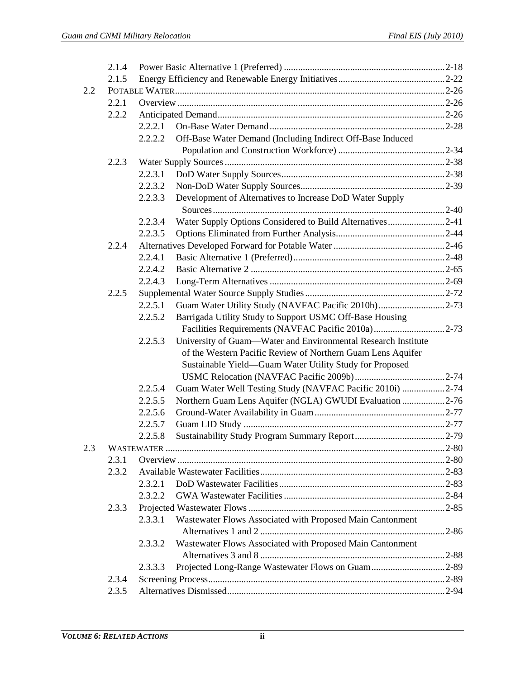|     | 2.1.4 |         |                                                               |  |  |  |  |
|-----|-------|---------|---------------------------------------------------------------|--|--|--|--|
|     | 2.1.5 |         |                                                               |  |  |  |  |
| 2.2 |       |         |                                                               |  |  |  |  |
|     | 2.2.1 |         |                                                               |  |  |  |  |
|     | 2.2.2 |         |                                                               |  |  |  |  |
|     |       | 2.2.2.1 |                                                               |  |  |  |  |
|     |       | 2.2.2.2 | Off-Base Water Demand (Including Indirect Off-Base Induced    |  |  |  |  |
|     |       |         |                                                               |  |  |  |  |
|     | 2.2.3 |         |                                                               |  |  |  |  |
|     |       | 2.2.3.1 |                                                               |  |  |  |  |
|     |       | 2.2.3.2 |                                                               |  |  |  |  |
|     |       | 2.2.3.3 | Development of Alternatives to Increase DoD Water Supply      |  |  |  |  |
|     |       |         |                                                               |  |  |  |  |
|     |       | 2.2.3.4 | Water Supply Options Considered to Build Alternatives2-41     |  |  |  |  |
|     |       | 2.2.3.5 |                                                               |  |  |  |  |
|     | 2.2.4 |         |                                                               |  |  |  |  |
|     |       | 2.2.4.1 |                                                               |  |  |  |  |
|     |       | 2.2.4.2 |                                                               |  |  |  |  |
|     |       | 2.2.4.3 |                                                               |  |  |  |  |
|     | 2.2.5 |         |                                                               |  |  |  |  |
|     |       | 2.2.5.1 | Guam Water Utility Study (NAVFAC Pacific 2010h)2-73           |  |  |  |  |
|     |       | 2.2.5.2 | Barrigada Utility Study to Support USMC Off-Base Housing      |  |  |  |  |
|     |       |         | Facilities Requirements (NAVFAC Pacific 2010a)2-73            |  |  |  |  |
|     |       | 2.2.5.3 | University of Guam-Water and Environmental Research Institute |  |  |  |  |
|     |       |         | of the Western Pacific Review of Northern Guam Lens Aquifer   |  |  |  |  |
|     |       |         | Sustainable Yield-Guam Water Utility Study for Proposed       |  |  |  |  |
|     |       |         |                                                               |  |  |  |  |
|     |       | 2.2.5.4 | Guam Water Well Testing Study (NAVFAC Pacific 2010i) 2-74     |  |  |  |  |
|     |       | 2.2.5.5 | Northern Guam Lens Aquifer (NGLA) GWUDI Evaluation 2-76       |  |  |  |  |
|     |       | 2.2.5.6 |                                                               |  |  |  |  |
|     |       | 2.2.5.7 |                                                               |  |  |  |  |
|     |       | 2.2.5.8 |                                                               |  |  |  |  |
| 2.3 |       |         |                                                               |  |  |  |  |
|     | 2.3.1 |         |                                                               |  |  |  |  |
|     | 2.3.2 |         |                                                               |  |  |  |  |
|     |       | 2.3.2.1 |                                                               |  |  |  |  |
|     |       | 2.3.2.2 |                                                               |  |  |  |  |
|     | 2.3.3 |         |                                                               |  |  |  |  |
|     |       | 2.3.3.1 | Wastewater Flows Associated with Proposed Main Cantonment     |  |  |  |  |
|     |       |         |                                                               |  |  |  |  |
|     |       | 2.3.3.2 | Wastewater Flows Associated with Proposed Main Cantonment     |  |  |  |  |
|     |       |         |                                                               |  |  |  |  |
|     |       | 2.3.3.3 | Projected Long-Range Wastewater Flows on Guam2-89             |  |  |  |  |
|     | 2.3.4 |         |                                                               |  |  |  |  |
|     | 2.3.5 |         |                                                               |  |  |  |  |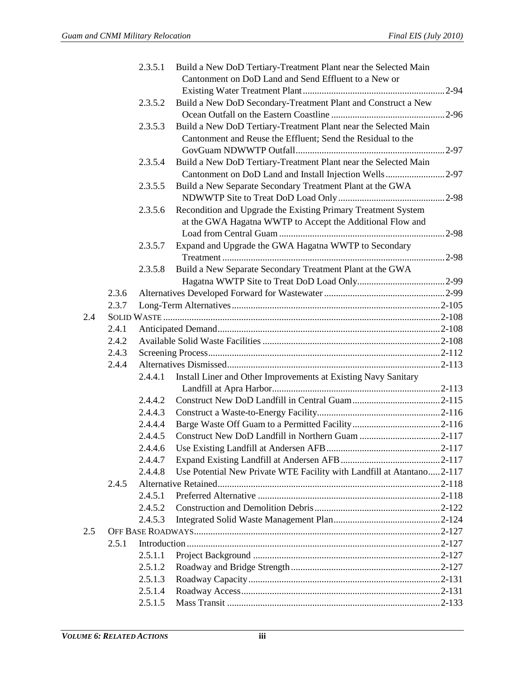|     |       | 2.3.5.1 | Build a New DoD Tertiary-Treatment Plant near the Selected Main       |  |
|-----|-------|---------|-----------------------------------------------------------------------|--|
|     |       |         | Cantonment on DoD Land and Send Effluent to a New or                  |  |
|     |       |         |                                                                       |  |
|     |       | 2.3.5.2 | Build a New DoD Secondary-Treatment Plant and Construct a New         |  |
|     |       |         |                                                                       |  |
|     |       | 2.3.5.3 | Build a New DoD Tertiary-Treatment Plant near the Selected Main       |  |
|     |       |         | Cantonment and Reuse the Effluent; Send the Residual to the           |  |
|     |       |         |                                                                       |  |
|     |       | 2.3.5.4 | Build a New DoD Tertiary-Treatment Plant near the Selected Main       |  |
|     |       |         | Cantonment on DoD Land and Install Injection Wells2-97                |  |
|     |       | 2.3.5.5 | Build a New Separate Secondary Treatment Plant at the GWA             |  |
|     |       |         |                                                                       |  |
|     |       | 2.3.5.6 | Recondition and Upgrade the Existing Primary Treatment System         |  |
|     |       |         | at the GWA Hagatna WWTP to Accept the Additional Flow and             |  |
|     |       |         |                                                                       |  |
|     |       | 2.3.5.7 | Expand and Upgrade the GWA Hagatna WWTP to Secondary                  |  |
|     |       |         |                                                                       |  |
|     |       | 2.3.5.8 | Build a New Separate Secondary Treatment Plant at the GWA             |  |
|     |       |         |                                                                       |  |
|     | 2.3.6 |         |                                                                       |  |
|     | 2.3.7 |         |                                                                       |  |
| 2.4 |       |         |                                                                       |  |
|     | 2.4.1 |         |                                                                       |  |
|     | 2.4.2 |         |                                                                       |  |
|     | 2.4.3 |         |                                                                       |  |
|     | 2.4.4 |         |                                                                       |  |
|     |       | 2.4.4.1 | Install Liner and Other Improvements at Existing Navy Sanitary        |  |
|     |       |         |                                                                       |  |
|     |       | 2.4.4.2 |                                                                       |  |
|     |       | 2.4.4.3 |                                                                       |  |
|     |       | 2.4.4.4 |                                                                       |  |
|     |       | 2.4.4.5 |                                                                       |  |
|     |       | 2.4.4.6 |                                                                       |  |
|     |       | 2.4.4.7 |                                                                       |  |
|     |       | 2.4.4.8 | Use Potential New Private WTE Facility with Landfill at Atantano2-117 |  |
|     | 2.4.5 |         |                                                                       |  |
|     |       | 2.4.5.1 |                                                                       |  |
|     |       | 2.4.5.2 |                                                                       |  |
|     |       | 2.4.5.3 |                                                                       |  |
| 2.5 |       |         |                                                                       |  |
|     | 2.5.1 |         |                                                                       |  |
|     |       | 2.5.1.1 |                                                                       |  |
|     |       | 2.5.1.2 |                                                                       |  |
|     |       | 2.5.1.3 |                                                                       |  |
|     |       | 2.5.1.4 |                                                                       |  |
|     |       | 2.5.1.5 |                                                                       |  |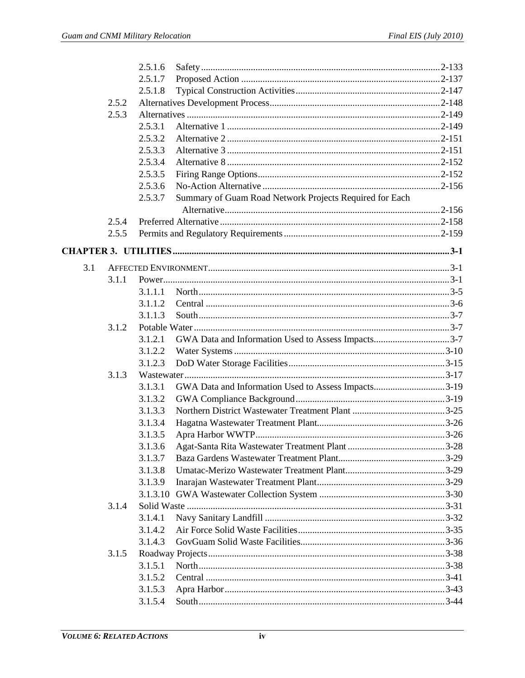|     |       | 2.5.1.6 |                                                         |  |
|-----|-------|---------|---------------------------------------------------------|--|
|     |       | 2.5.1.7 |                                                         |  |
|     |       | 2.5.1.8 |                                                         |  |
|     | 2.5.2 |         |                                                         |  |
|     | 2.5.3 |         |                                                         |  |
|     |       | 2.5.3.1 |                                                         |  |
|     |       | 2.5.3.2 |                                                         |  |
|     |       | 2.5.3.3 |                                                         |  |
|     |       | 2.5.3.4 |                                                         |  |
|     |       | 2.5.3.5 |                                                         |  |
|     |       | 2.5.3.6 |                                                         |  |
|     |       | 2.5.3.7 | Summary of Guam Road Network Projects Required for Each |  |
|     |       |         |                                                         |  |
|     | 2.5.4 |         |                                                         |  |
|     | 2.5.5 |         |                                                         |  |
|     |       |         |                                                         |  |
|     |       |         |                                                         |  |
| 3.1 |       |         |                                                         |  |
|     | 3.1.1 |         |                                                         |  |
|     |       | 3.1.1.1 |                                                         |  |
|     |       | 3.1.1.2 |                                                         |  |
|     |       | 3.1.1.3 |                                                         |  |
|     | 3.1.2 |         |                                                         |  |
|     |       | 3.1.2.1 | GWA Data and Information Used to Assess Impacts3-7      |  |
|     |       | 3.1.2.2 |                                                         |  |
|     |       | 3.1.2.3 |                                                         |  |
|     | 3.1.3 |         |                                                         |  |
|     |       | 3.1.3.1 | GWA Data and Information Used to Assess Impacts3-19     |  |
|     |       | 3.1.3.2 |                                                         |  |
|     |       | 3.1.3.3 |                                                         |  |
|     |       | 3.1.3.4 |                                                         |  |
|     |       | 3.1.3.5 |                                                         |  |
|     |       | 3.1.3.6 |                                                         |  |
|     |       | 3.1.3.7 |                                                         |  |
|     |       | 3.1.3.8 |                                                         |  |
|     |       | 3.1.3.9 |                                                         |  |
|     |       |         |                                                         |  |
|     | 3.1.4 |         |                                                         |  |
|     |       | 3.1.4.1 |                                                         |  |
|     |       | 3.1.4.2 |                                                         |  |
|     |       | 3.1.4.3 |                                                         |  |
|     | 3.1.5 |         |                                                         |  |
|     |       | 3.1.5.1 |                                                         |  |
|     |       | 3.1.5.2 |                                                         |  |
|     |       | 3.1.5.3 |                                                         |  |
|     |       | 3.1.5.4 |                                                         |  |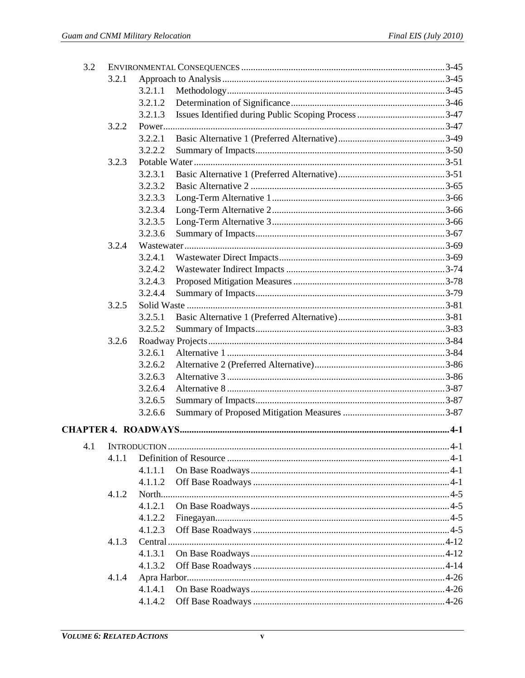| 3.2 |       |          |  |      |  |
|-----|-------|----------|--|------|--|
|     | 3.2.1 |          |  |      |  |
|     |       | 3.2.1.1  |  |      |  |
|     |       | 3.2.1.2  |  |      |  |
|     |       | 3.2.1.3  |  |      |  |
|     | 3.2.2 |          |  |      |  |
|     |       | 3.2.2.1  |  |      |  |
|     |       | 3.2.2.2  |  |      |  |
|     | 3.2.3 |          |  |      |  |
|     |       | 3.2.3.1  |  |      |  |
|     |       | 3.2.3.2  |  |      |  |
|     |       | 3.2.3.3  |  |      |  |
|     |       | 3.2.3.4  |  |      |  |
|     |       | 3.2.3.5  |  |      |  |
|     |       | 3.2.3.6  |  |      |  |
|     | 3.2.4 |          |  |      |  |
|     |       | 3.2.4.1  |  |      |  |
|     |       | 3.2.4.2  |  |      |  |
|     |       | 3.2.4.3  |  |      |  |
|     |       | 3.2.4.4  |  |      |  |
|     | 3.2.5 |          |  |      |  |
|     |       | 3.2.5.1  |  |      |  |
|     |       | 3.2.5.2  |  |      |  |
|     | 3.2.6 |          |  |      |  |
|     |       | 3.2.6.1  |  |      |  |
|     |       | 3.2.6.2  |  |      |  |
|     |       | 3.2.6.3  |  |      |  |
|     |       | 3.2.6.4  |  |      |  |
|     |       | 3.2.6.5  |  |      |  |
|     |       | 3.2.6.6  |  |      |  |
|     |       |          |  |      |  |
|     |       |          |  | .4-1 |  |
|     | 4.1.1 |          |  |      |  |
|     |       | 4.1.1.1  |  |      |  |
|     |       | 4.1.1.2  |  |      |  |
|     | 4.1.2 |          |  |      |  |
|     |       | 4.1.2.1  |  |      |  |
|     |       | 4.1.2.2  |  |      |  |
|     |       | 4.1.2.3  |  |      |  |
|     | 4.1.3 | Central. |  |      |  |
|     |       | 4.1.3.1  |  |      |  |
|     |       | 4.1.3.2  |  |      |  |
|     | 4.1.4 |          |  |      |  |
|     |       | 4.1.4.1  |  |      |  |
|     |       | 4.1.4.2  |  |      |  |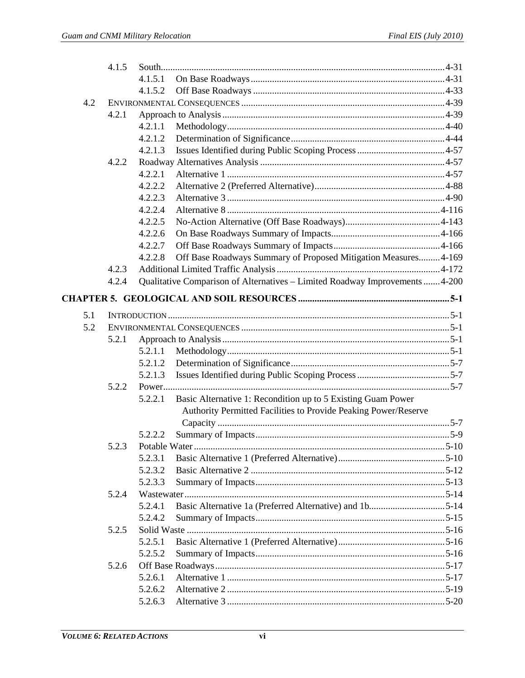|     | 4.1.5 |         |                                                                              |  |
|-----|-------|---------|------------------------------------------------------------------------------|--|
|     |       | 4.1.5.1 |                                                                              |  |
|     |       | 4.1.5.2 |                                                                              |  |
| 4.2 |       |         |                                                                              |  |
|     | 4.2.1 |         |                                                                              |  |
|     |       | 4.2.1.1 |                                                                              |  |
|     |       | 4.2.1.2 |                                                                              |  |
|     |       | 4.2.1.3 |                                                                              |  |
|     | 4.2.2 |         |                                                                              |  |
|     |       | 4.2.2.1 |                                                                              |  |
|     |       | 4.2.2.2 |                                                                              |  |
|     |       | 4.2.2.3 |                                                                              |  |
|     |       | 4.2.2.4 |                                                                              |  |
|     |       | 4.2.2.5 |                                                                              |  |
|     |       | 4.2.2.6 |                                                                              |  |
|     |       | 4.2.2.7 |                                                                              |  |
|     |       | 4.2.2.8 | Off Base Roadways Summary of Proposed Mitigation Measures 4-169              |  |
|     | 4.2.3 |         |                                                                              |  |
|     | 4.2.4 |         | Qualitative Comparison of Alternatives - Limited Roadway Improvements  4-200 |  |
|     |       |         |                                                                              |  |
| 5.1 |       |         |                                                                              |  |
| 5.2 |       |         |                                                                              |  |
|     | 5.2.1 |         |                                                                              |  |
|     |       | 5.2.1.1 |                                                                              |  |
|     |       | 5.2.1.2 |                                                                              |  |
|     |       | 5.2.1.3 |                                                                              |  |
|     | 5.2.2 |         |                                                                              |  |
|     |       | 5.2.2.1 | Basic Alternative 1: Recondition up to 5 Existing Guam Power                 |  |
|     |       |         | Authority Permitted Facilities to Provide Peaking Power/Reserve              |  |
|     |       |         |                                                                              |  |
|     |       | 5.2.2.2 |                                                                              |  |
|     | 5.2.3 |         |                                                                              |  |
|     |       | 5.2.3.1 |                                                                              |  |
|     |       | 5.2.3.2 |                                                                              |  |
|     |       | 5.2.3.3 |                                                                              |  |
|     | 5.2.4 |         |                                                                              |  |
|     |       | 5.2.4.1 |                                                                              |  |
|     |       | 5.2.4.2 |                                                                              |  |
|     | 5.2.5 |         |                                                                              |  |
|     |       | 5.2.5.1 |                                                                              |  |
|     |       | 5.2.5.2 |                                                                              |  |
|     | 5.2.6 |         |                                                                              |  |
|     |       | 5.2.6.1 |                                                                              |  |
|     |       | 5.2.6.2 |                                                                              |  |
|     |       | 5.2.6.3 |                                                                              |  |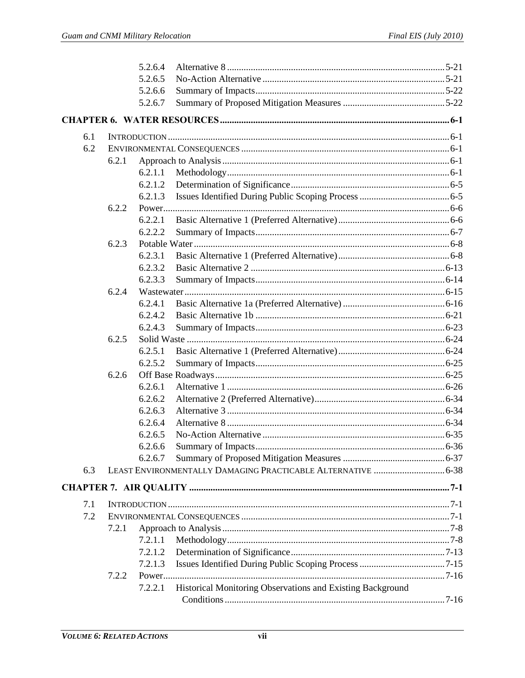|     |       | 5.2.6.4 |                                                              |  |
|-----|-------|---------|--------------------------------------------------------------|--|
|     |       | 5.2.6.5 |                                                              |  |
|     |       | 5.2.6.6 |                                                              |  |
|     |       | 5.2.6.7 |                                                              |  |
|     |       |         |                                                              |  |
| 6.1 |       |         |                                                              |  |
| 6.2 |       |         |                                                              |  |
|     | 6.2.1 |         |                                                              |  |
|     |       | 6.2.1.1 |                                                              |  |
|     |       | 6.2.1.2 |                                                              |  |
|     |       | 6.2.1.3 |                                                              |  |
|     | 6.2.2 |         |                                                              |  |
|     |       | 6.2.2.1 |                                                              |  |
|     |       | 6.2.2.2 |                                                              |  |
|     | 6.2.3 |         |                                                              |  |
|     |       | 6.2.3.1 |                                                              |  |
|     |       | 6.2.3.2 |                                                              |  |
|     |       | 6.2.3.3 |                                                              |  |
|     | 6.2.4 |         |                                                              |  |
|     |       | 6.2.4.1 |                                                              |  |
|     |       | 6.2.4.2 |                                                              |  |
|     |       | 6.2.4.3 |                                                              |  |
|     | 6.2.5 |         |                                                              |  |
|     |       | 6.2.5.1 |                                                              |  |
|     |       | 6.2.5.2 |                                                              |  |
|     | 6.2.6 |         |                                                              |  |
|     |       | 6.2.6.1 |                                                              |  |
|     |       | 6.2.6.2 |                                                              |  |
|     |       | 6.2.6.3 |                                                              |  |
|     |       | 6.2.6.4 |                                                              |  |
|     |       | 6.2.6.5 |                                                              |  |
|     |       | 6.2.6.6 |                                                              |  |
|     |       | 6.2.6.7 |                                                              |  |
| 6.3 |       |         | LEAST ENVIRONMENTALLY DAMAGING PRACTICABLE ALTERNATIVE  6-38 |  |
|     |       |         |                                                              |  |
| 7.1 |       |         |                                                              |  |
| 7.2 |       |         |                                                              |  |
|     | 7.2.1 |         |                                                              |  |
|     |       | 7.2.1.1 |                                                              |  |
|     |       | 7.2.1.2 |                                                              |  |
|     |       | 7.2.1.3 |                                                              |  |
|     | 7.2.2 |         |                                                              |  |
|     |       | 7.2.2.1 | Historical Monitoring Observations and Existing Background   |  |
|     |       |         |                                                              |  |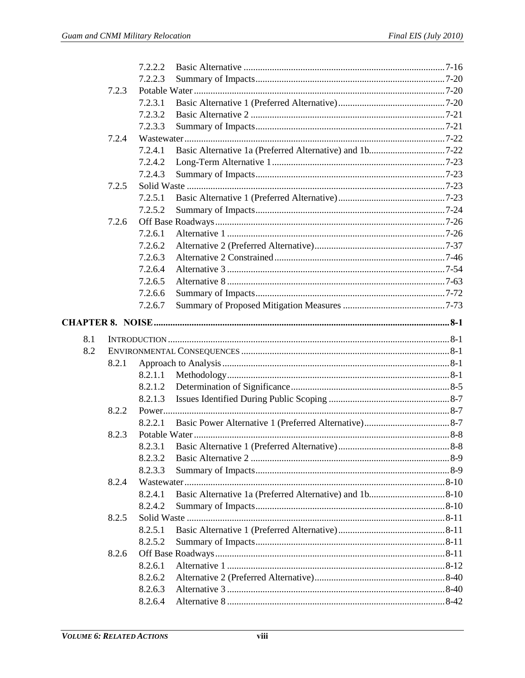|     |       | 7.2.2.2 |  |
|-----|-------|---------|--|
|     |       | 7.2.2.3 |  |
|     | 7.2.3 |         |  |
|     |       | 7.2.3.1 |  |
|     |       | 7.2.3.2 |  |
|     |       | 7.2.3.3 |  |
|     | 7.2.4 |         |  |
|     |       | 7.2.4.1 |  |
|     |       | 7.2.4.2 |  |
|     |       | 7.2.4.3 |  |
|     | 7.2.5 |         |  |
|     |       | 7.2.5.1 |  |
|     |       | 7.2.5.2 |  |
|     | 7.2.6 |         |  |
|     |       | 7.2.6.1 |  |
|     |       | 7.2.6.2 |  |
|     |       | 7.2.6.3 |  |
|     |       | 7.2.6.4 |  |
|     |       | 7.2.6.5 |  |
|     |       | 7.2.6.6 |  |
|     |       | 7.2.6.7 |  |
|     |       |         |  |
| 8.1 |       |         |  |
| 8.2 |       |         |  |
|     | 8.2.1 |         |  |
|     |       | 8.2.1.1 |  |
|     |       |         |  |
|     |       | 8.2.1.2 |  |
|     |       | 8.2.1.3 |  |
|     | 8.2.2 |         |  |
|     |       | 8.2.2.1 |  |
|     | 8.2.3 |         |  |
|     |       | 8.2.3.1 |  |
|     |       | 8.2.3.2 |  |
|     |       | 8.2.3.3 |  |
|     | 8.2.4 |         |  |
|     |       | 8.2.4.1 |  |
|     |       | 8.2.4.2 |  |
|     | 8.2.5 |         |  |
|     |       | 8.2.5.1 |  |
|     |       | 8.2.5.2 |  |
|     | 8.2.6 |         |  |
|     |       | 8.2.6.1 |  |
|     |       | 8.2.6.2 |  |
|     |       | 8.2.6.3 |  |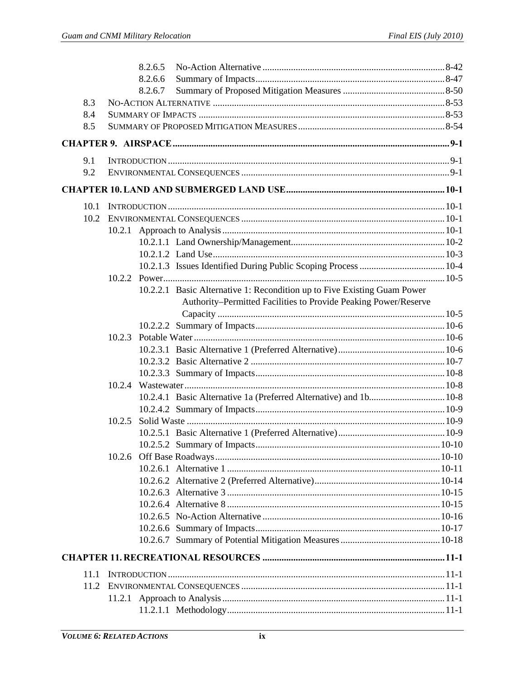|      | 8.2.6.5                                                                  |  |
|------|--------------------------------------------------------------------------|--|
|      | 8.2.6.6                                                                  |  |
|      | 8.2.6.7                                                                  |  |
| 8.3  |                                                                          |  |
| 8.4  |                                                                          |  |
| 8.5  |                                                                          |  |
|      |                                                                          |  |
| 9.1  |                                                                          |  |
| 9.2  |                                                                          |  |
|      |                                                                          |  |
| 10.1 |                                                                          |  |
|      |                                                                          |  |
|      |                                                                          |  |
|      |                                                                          |  |
|      |                                                                          |  |
|      |                                                                          |  |
|      |                                                                          |  |
|      | 10.2.2.1 Basic Alternative 1: Recondition up to Five Existing Guam Power |  |
|      | Authority-Permitted Facilities to Provide Peaking Power/Reserve          |  |
|      |                                                                          |  |
|      |                                                                          |  |
|      | 10.2.3                                                                   |  |
|      |                                                                          |  |
|      |                                                                          |  |
|      |                                                                          |  |
|      | 10.2.4                                                                   |  |
|      | 10.2.4.1 Basic Alternative 1a (Preferred Alternative) and 1b 10-8        |  |
|      |                                                                          |  |
|      | 10.2.5                                                                   |  |
|      |                                                                          |  |
|      |                                                                          |  |
|      |                                                                          |  |
|      |                                                                          |  |
|      |                                                                          |  |
|      |                                                                          |  |
|      |                                                                          |  |
|      |                                                                          |  |
|      |                                                                          |  |
|      |                                                                          |  |
| 11.1 |                                                                          |  |
| 11.2 |                                                                          |  |
|      |                                                                          |  |
|      |                                                                          |  |
|      |                                                                          |  |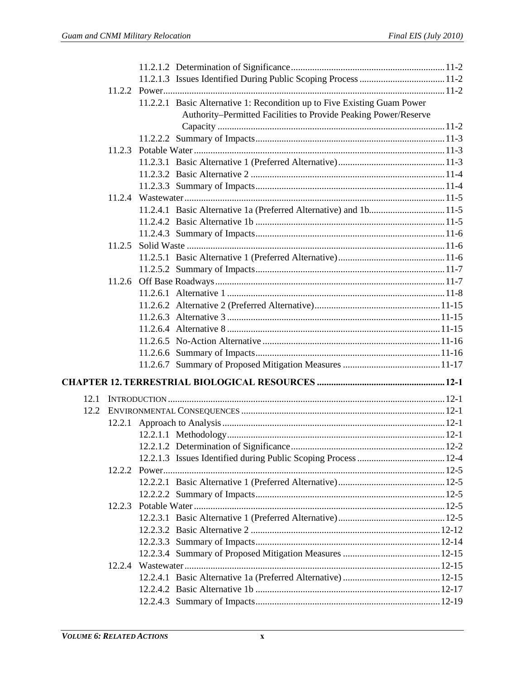|      |        | 11.2.2.1 Basic Alternative 1: Recondition up to Five Existing Guam Power |  |
|------|--------|--------------------------------------------------------------------------|--|
|      |        | Authority-Permitted Facilities to Provide Peaking Power/Reserve          |  |
|      |        |                                                                          |  |
|      |        |                                                                          |  |
|      |        |                                                                          |  |
|      |        |                                                                          |  |
|      |        |                                                                          |  |
|      |        |                                                                          |  |
|      |        |                                                                          |  |
|      |        |                                                                          |  |
|      |        |                                                                          |  |
|      |        |                                                                          |  |
|      | 11.2.5 |                                                                          |  |
|      |        |                                                                          |  |
|      |        |                                                                          |  |
|      |        |                                                                          |  |
|      |        |                                                                          |  |
|      |        |                                                                          |  |
|      |        |                                                                          |  |
|      |        |                                                                          |  |
|      |        |                                                                          |  |
|      |        |                                                                          |  |
|      |        |                                                                          |  |
|      |        |                                                                          |  |
| 12.1 |        |                                                                          |  |
| 12.2 |        |                                                                          |  |
|      |        |                                                                          |  |
|      |        |                                                                          |  |
|      |        |                                                                          |  |
|      |        |                                                                          |  |
|      |        |                                                                          |  |
|      |        |                                                                          |  |
|      |        |                                                                          |  |
|      | 12.2.3 |                                                                          |  |
|      |        |                                                                          |  |
|      |        |                                                                          |  |
|      |        |                                                                          |  |
|      |        |                                                                          |  |
|      |        |                                                                          |  |
|      |        |                                                                          |  |
|      |        |                                                                          |  |
|      |        |                                                                          |  |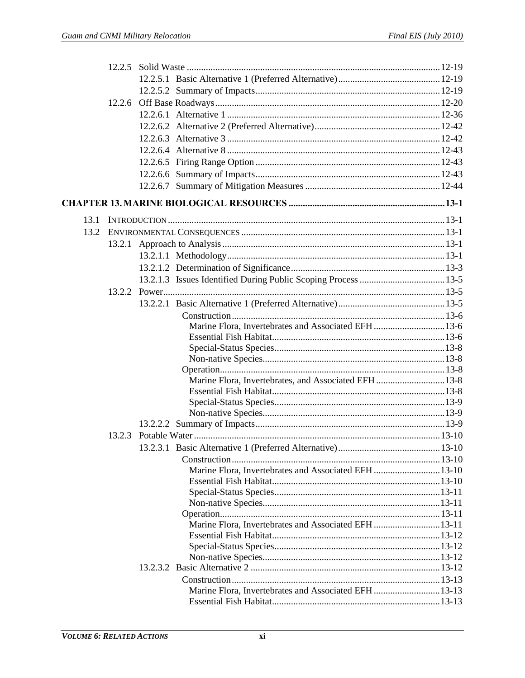| 13.1 |  |                                                      |  |
|------|--|------------------------------------------------------|--|
| 13.2 |  |                                                      |  |
|      |  |                                                      |  |
|      |  |                                                      |  |
|      |  |                                                      |  |
|      |  |                                                      |  |
|      |  |                                                      |  |
|      |  |                                                      |  |
|      |  |                                                      |  |
|      |  | Marine Flora, Invertebrates and Associated EFH 13-6  |  |
|      |  |                                                      |  |
|      |  |                                                      |  |
|      |  |                                                      |  |
|      |  | Marine Flora, Invertebrates, and Associated EFH 13-8 |  |
|      |  |                                                      |  |
|      |  |                                                      |  |
|      |  |                                                      |  |
|      |  |                                                      |  |
|      |  |                                                      |  |
|      |  |                                                      |  |
|      |  |                                                      |  |
|      |  | Marine Flora, Invertebrates and Associated EFH 13-10 |  |
|      |  |                                                      |  |
|      |  |                                                      |  |
|      |  |                                                      |  |
|      |  |                                                      |  |
|      |  | Marine Flora, Invertebrates and Associated EFH 13-11 |  |
|      |  |                                                      |  |
|      |  |                                                      |  |
|      |  |                                                      |  |
|      |  |                                                      |  |
|      |  |                                                      |  |
|      |  | Marine Flora, Invertebrates and Associated EFH 13-13 |  |
|      |  |                                                      |  |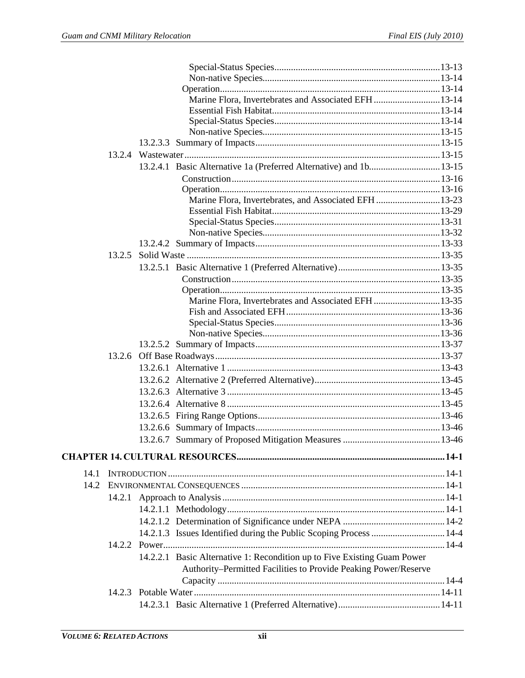|      |        | Marine Flora, Invertebrates and Associated EFH 13-14                     |  |
|------|--------|--------------------------------------------------------------------------|--|
|      |        |                                                                          |  |
|      |        |                                                                          |  |
|      |        |                                                                          |  |
|      |        |                                                                          |  |
|      |        |                                                                          |  |
|      |        | 13.2.4.1 Basic Alternative 1a (Preferred Alternative) and 1b 13-15       |  |
|      |        |                                                                          |  |
|      |        |                                                                          |  |
|      |        | Marine Flora, Invertebrates, and Associated EFH 13-23                    |  |
|      |        |                                                                          |  |
|      |        |                                                                          |  |
|      |        |                                                                          |  |
|      |        |                                                                          |  |
|      | 13.2.5 |                                                                          |  |
|      |        |                                                                          |  |
|      |        |                                                                          |  |
|      |        |                                                                          |  |
|      |        | Marine Flora, Invertebrates and Associated EFH 13-35                     |  |
|      |        |                                                                          |  |
|      |        |                                                                          |  |
|      |        |                                                                          |  |
|      |        |                                                                          |  |
|      |        |                                                                          |  |
|      |        |                                                                          |  |
|      |        |                                                                          |  |
|      |        |                                                                          |  |
|      |        |                                                                          |  |
|      |        |                                                                          |  |
|      |        |                                                                          |  |
|      |        |                                                                          |  |
|      |        |                                                                          |  |
|      |        |                                                                          |  |
| 14.1 |        |                                                                          |  |
| 14.2 |        |                                                                          |  |
|      |        |                                                                          |  |
|      |        |                                                                          |  |
|      |        |                                                                          |  |
|      |        | 14.2.1.3 Issues Identified during the Public Scoping Process  14-4       |  |
|      |        |                                                                          |  |
|      |        | 14.2.2.1 Basic Alternative 1: Recondition up to Five Existing Guam Power |  |
|      |        | Authority-Permitted Facilities to Provide Peaking Power/Reserve          |  |
|      |        |                                                                          |  |
|      |        |                                                                          |  |
|      |        |                                                                          |  |
|      |        |                                                                          |  |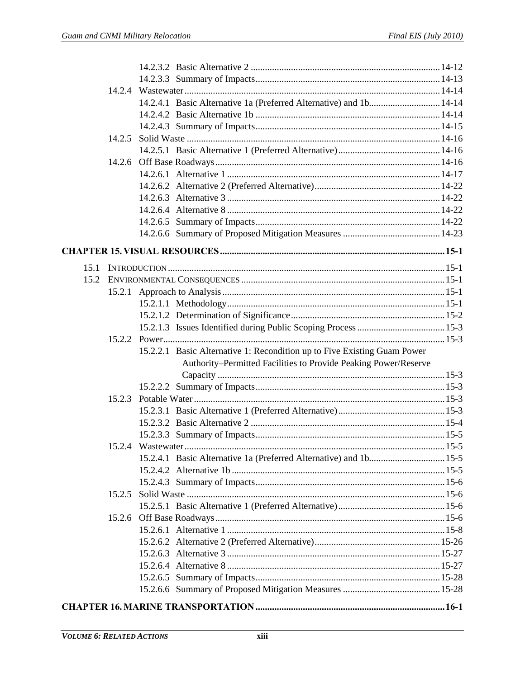|      |        | 14.2.4.1 Basic Alternative 1a (Preferred Alternative) and 1b 14-14                                                                          |  |
|------|--------|---------------------------------------------------------------------------------------------------------------------------------------------|--|
|      |        |                                                                                                                                             |  |
|      |        |                                                                                                                                             |  |
|      | 14.2.5 |                                                                                                                                             |  |
|      |        |                                                                                                                                             |  |
|      |        |                                                                                                                                             |  |
|      |        |                                                                                                                                             |  |
|      |        |                                                                                                                                             |  |
|      |        |                                                                                                                                             |  |
|      |        |                                                                                                                                             |  |
|      |        |                                                                                                                                             |  |
|      |        |                                                                                                                                             |  |
|      |        |                                                                                                                                             |  |
|      |        |                                                                                                                                             |  |
| 15.1 |        |                                                                                                                                             |  |
| 15.2 |        |                                                                                                                                             |  |
|      |        |                                                                                                                                             |  |
|      |        |                                                                                                                                             |  |
|      |        |                                                                                                                                             |  |
|      |        |                                                                                                                                             |  |
|      |        |                                                                                                                                             |  |
|      |        | 15.2.2.1 Basic Alternative 1: Recondition up to Five Existing Guam Power<br>Authority-Permitted Facilities to Provide Peaking Power/Reserve |  |
|      |        |                                                                                                                                             |  |
|      |        |                                                                                                                                             |  |
|      |        |                                                                                                                                             |  |
|      |        |                                                                                                                                             |  |
|      |        |                                                                                                                                             |  |
|      |        |                                                                                                                                             |  |
|      |        |                                                                                                                                             |  |
|      |        |                                                                                                                                             |  |
|      |        |                                                                                                                                             |  |
|      |        |                                                                                                                                             |  |
|      | 15.2.5 |                                                                                                                                             |  |
|      |        |                                                                                                                                             |  |
|      |        |                                                                                                                                             |  |
|      |        |                                                                                                                                             |  |
|      |        |                                                                                                                                             |  |
|      |        |                                                                                                                                             |  |
|      |        |                                                                                                                                             |  |
|      |        |                                                                                                                                             |  |
|      |        |                                                                                                                                             |  |
|      |        |                                                                                                                                             |  |
|      |        |                                                                                                                                             |  |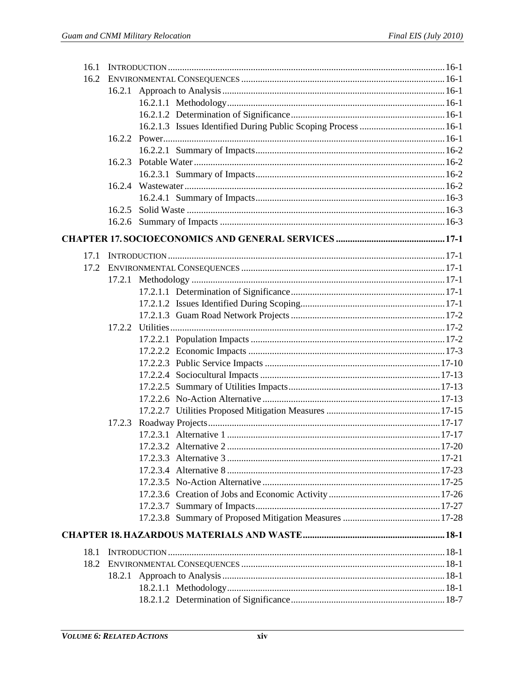| 16.1 |        |  |
|------|--------|--|
| 16.2 |        |  |
|      |        |  |
|      |        |  |
|      |        |  |
|      |        |  |
|      |        |  |
|      |        |  |
|      | 16.2.3 |  |
|      |        |  |
|      | 16.2.4 |  |
|      |        |  |
|      | 16.2.5 |  |
|      |        |  |
|      |        |  |
| 17.1 |        |  |
| 17.2 |        |  |
|      |        |  |
|      |        |  |
|      |        |  |
|      |        |  |
|      |        |  |
|      |        |  |
|      |        |  |
|      |        |  |
|      |        |  |
|      |        |  |
|      |        |  |
|      |        |  |
|      | 17.2.3 |  |
|      |        |  |
|      |        |  |
|      |        |  |
|      |        |  |
|      |        |  |
|      |        |  |
|      |        |  |
|      |        |  |
|      |        |  |
| 18.1 |        |  |
|      |        |  |
|      |        |  |
|      |        |  |
|      |        |  |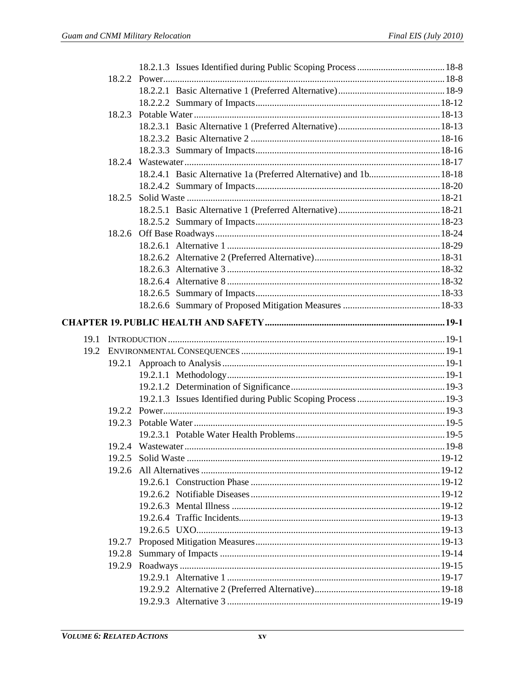|      | 18.2.4 |                                                                    |  |
|------|--------|--------------------------------------------------------------------|--|
|      |        | 18.2.4.1 Basic Alternative 1a (Preferred Alternative) and 1b 18-18 |  |
|      |        |                                                                    |  |
|      | 18.2.5 |                                                                    |  |
|      |        |                                                                    |  |
|      |        |                                                                    |  |
|      | 18.2.6 |                                                                    |  |
|      |        |                                                                    |  |
|      |        |                                                                    |  |
|      |        |                                                                    |  |
|      |        |                                                                    |  |
|      |        |                                                                    |  |
|      |        |                                                                    |  |
|      |        |                                                                    |  |
| 19.1 |        |                                                                    |  |
| 19.2 |        |                                                                    |  |
|      | 19.2.1 |                                                                    |  |
|      |        |                                                                    |  |
|      |        |                                                                    |  |
|      |        |                                                                    |  |
|      |        |                                                                    |  |
|      |        |                                                                    |  |
|      |        |                                                                    |  |
|      | 19.2.4 |                                                                    |  |
|      | 19.2.5 |                                                                    |  |
|      |        |                                                                    |  |
|      |        |                                                                    |  |
|      |        |                                                                    |  |
|      |        |                                                                    |  |
|      |        |                                                                    |  |
|      |        |                                                                    |  |
|      |        |                                                                    |  |
|      |        |                                                                    |  |
|      | 19.2.8 |                                                                    |  |
|      |        |                                                                    |  |
|      |        |                                                                    |  |
|      |        |                                                                    |  |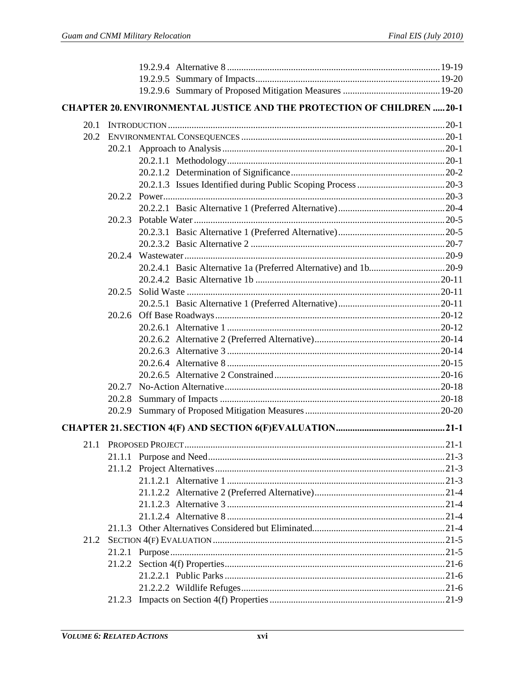|      |        |                       | <b>CHAPTER 20. ENVIRONMENTAL JUSTICE AND THE PROTECTION OF CHILDREN 20-1</b> |        |
|------|--------|-----------------------|------------------------------------------------------------------------------|--------|
| 20.1 |        |                       |                                                                              |        |
| 20.2 |        |                       |                                                                              |        |
|      |        |                       |                                                                              |        |
|      |        |                       |                                                                              |        |
|      |        |                       |                                                                              |        |
|      |        |                       |                                                                              |        |
|      |        |                       |                                                                              |        |
|      |        |                       |                                                                              |        |
|      | 20.2.3 |                       |                                                                              |        |
|      |        |                       |                                                                              |        |
|      |        |                       |                                                                              |        |
|      |        |                       |                                                                              |        |
|      |        |                       |                                                                              |        |
|      |        |                       |                                                                              |        |
|      | 20.2.5 |                       |                                                                              |        |
|      |        |                       |                                                                              |        |
|      |        |                       |                                                                              |        |
|      |        |                       |                                                                              |        |
|      |        |                       |                                                                              |        |
|      |        |                       |                                                                              |        |
|      |        |                       |                                                                              |        |
|      |        |                       |                                                                              |        |
|      | 20.2.7 |                       |                                                                              |        |
|      | 20.2.8 |                       |                                                                              |        |
|      | 20.2.9 |                       |                                                                              |        |
|      |        |                       |                                                                              |        |
|      |        | 21.1 PROPOSED PROJECT |                                                                              | $21-1$ |
|      |        |                       |                                                                              |        |
|      |        |                       |                                                                              |        |
|      |        |                       |                                                                              |        |
|      |        |                       |                                                                              |        |
|      |        |                       |                                                                              |        |
|      |        |                       |                                                                              |        |
|      |        |                       |                                                                              |        |
| 21.2 |        |                       |                                                                              |        |
|      |        |                       |                                                                              |        |
|      |        |                       |                                                                              |        |
|      |        |                       |                                                                              |        |
|      |        |                       |                                                                              |        |
|      |        |                       |                                                                              |        |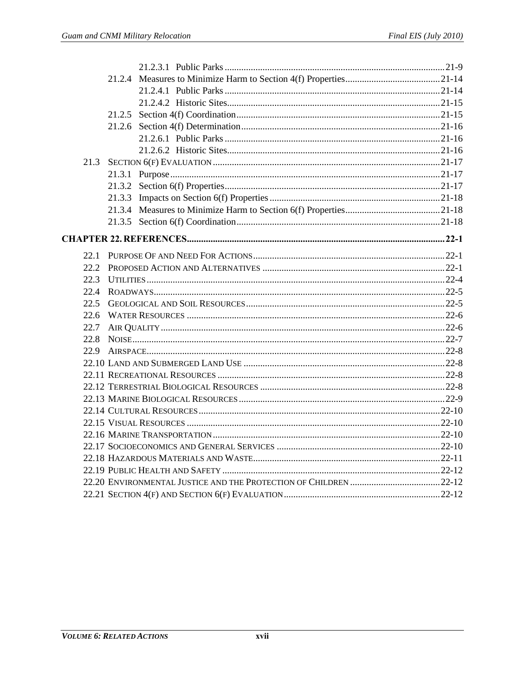| 21.3 |        |  |
|------|--------|--|
|      |        |  |
|      |        |  |
|      | 21.3.3 |  |
|      |        |  |
|      |        |  |
|      |        |  |
| 22.1 |        |  |
| 22.2 |        |  |
| 22.3 |        |  |
| 22.4 |        |  |
| 22.5 |        |  |
| 22.6 |        |  |
| 22.7 |        |  |
| 22.8 |        |  |
| 22.9 |        |  |
|      |        |  |
|      |        |  |
|      |        |  |
|      |        |  |
|      |        |  |
|      |        |  |
|      |        |  |
|      |        |  |
|      |        |  |
|      |        |  |
|      |        |  |
|      |        |  |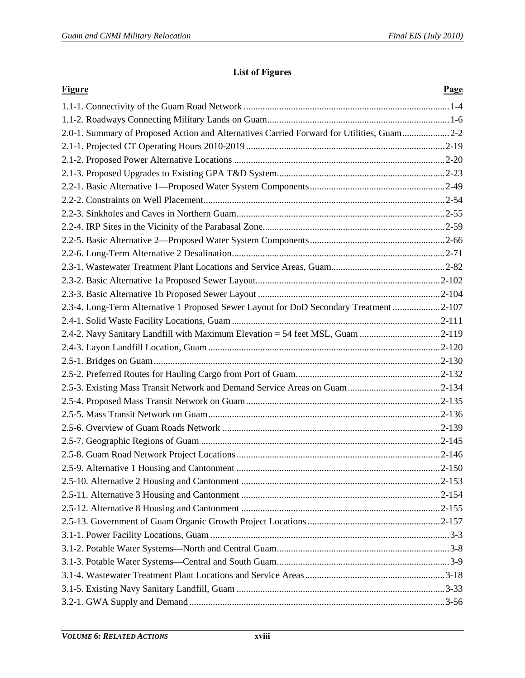#### **List of Figures**

| <b>Figure</b>                                                                             | Page |
|-------------------------------------------------------------------------------------------|------|
|                                                                                           |      |
|                                                                                           |      |
| 2.0-1. Summary of Proposed Action and Alternatives Carried Forward for Utilities, Guam2-2 |      |
|                                                                                           |      |
|                                                                                           |      |
|                                                                                           |      |
|                                                                                           |      |
|                                                                                           |      |
|                                                                                           |      |
|                                                                                           |      |
|                                                                                           |      |
|                                                                                           |      |
|                                                                                           |      |
|                                                                                           |      |
|                                                                                           |      |
| 2.3-4. Long-Term Alternative 1 Proposed Sewer Layout for DoD Secondary Treatment 2-107    |      |
|                                                                                           |      |
| 2.4-2. Navy Sanitary Landfill with Maximum Elevation = 54 feet MSL, Guam 2-119            |      |
|                                                                                           |      |
|                                                                                           |      |
|                                                                                           |      |
|                                                                                           |      |
|                                                                                           |      |
|                                                                                           |      |
|                                                                                           |      |
|                                                                                           |      |
|                                                                                           |      |
|                                                                                           |      |
|                                                                                           |      |
|                                                                                           |      |
|                                                                                           |      |
|                                                                                           |      |
|                                                                                           |      |
|                                                                                           |      |
|                                                                                           |      |
|                                                                                           |      |
|                                                                                           |      |
|                                                                                           |      |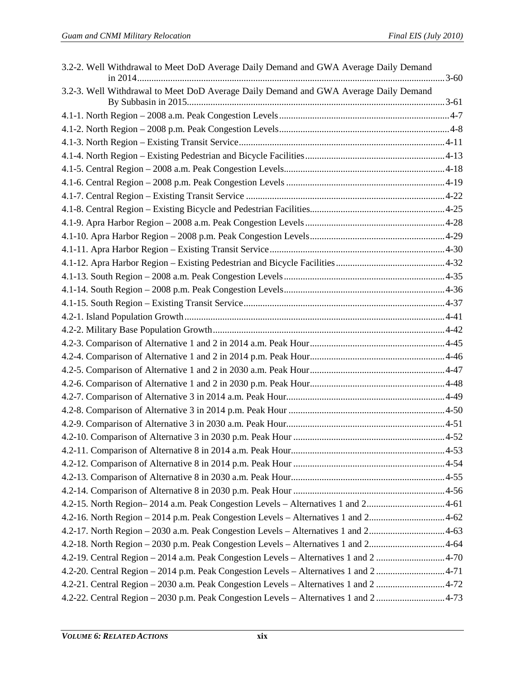| 3.2-2. Well Withdrawal to Meet DoD Average Daily Demand and GWA Average Daily Demand  |
|---------------------------------------------------------------------------------------|
| 3.2-3. Well Withdrawal to Meet DoD Average Daily Demand and GWA Average Daily Demand  |
|                                                                                       |
|                                                                                       |
|                                                                                       |
|                                                                                       |
|                                                                                       |
|                                                                                       |
|                                                                                       |
|                                                                                       |
|                                                                                       |
|                                                                                       |
|                                                                                       |
|                                                                                       |
|                                                                                       |
|                                                                                       |
|                                                                                       |
|                                                                                       |
|                                                                                       |
|                                                                                       |
|                                                                                       |
|                                                                                       |
|                                                                                       |
|                                                                                       |
|                                                                                       |
|                                                                                       |
|                                                                                       |
|                                                                                       |
|                                                                                       |
|                                                                                       |
|                                                                                       |
| 4.2-15. North Region-2014 a.m. Peak Congestion Levels - Alternatives 1 and 24-61      |
| 4.2-16. North Region – 2014 p.m. Peak Congestion Levels – Alternatives 1 and 24-62    |
| 4.2-17. North Region - 2030 a.m. Peak Congestion Levels - Alternatives 1 and 24-63    |
| 4.2-18. North Region - 2030 p.m. Peak Congestion Levels - Alternatives 1 and 24-64    |
| 4.2-19. Central Region - 2014 a.m. Peak Congestion Levels - Alternatives 1 and 2 4-70 |
| 4.2-20. Central Region - 2014 p.m. Peak Congestion Levels - Alternatives 1 and 24-71  |
| 4.2-21. Central Region - 2030 a.m. Peak Congestion Levels - Alternatives 1 and 2 4-72 |
| 4.2-22. Central Region - 2030 p.m. Peak Congestion Levels - Alternatives 1 and 2 4-73 |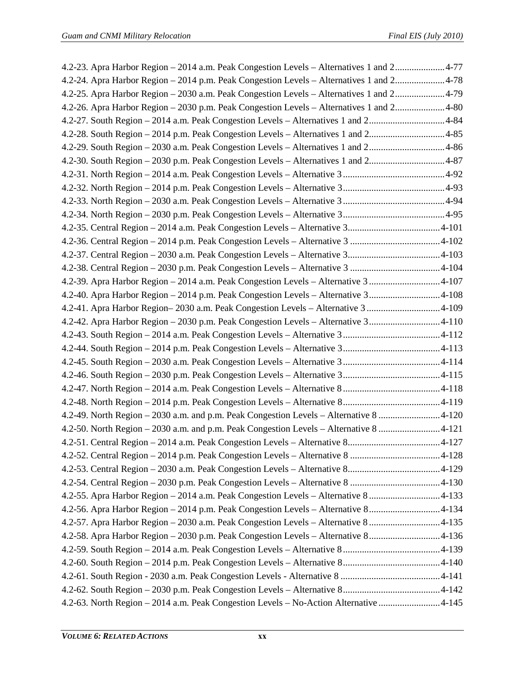| 4.2-23. Apra Harbor Region - 2014 a.m. Peak Congestion Levels - Alternatives 1 and 24-77 |  |
|------------------------------------------------------------------------------------------|--|
| 4.2-24. Apra Harbor Region - 2014 p.m. Peak Congestion Levels - Alternatives 1 and 24-78 |  |
| 4.2-25. Apra Harbor Region - 2030 a.m. Peak Congestion Levels - Alternatives 1 and 24-79 |  |
| 4.2-26. Apra Harbor Region – 2030 p.m. Peak Congestion Levels – Alternatives 1 and 24-80 |  |
| 4.2-27. South Region – 2014 a.m. Peak Congestion Levels – Alternatives 1 and 24-84       |  |
| 4.2-28. South Region - 2014 p.m. Peak Congestion Levels - Alternatives 1 and 24-85       |  |
| 4.2-29. South Region - 2030 a.m. Peak Congestion Levels - Alternatives 1 and 24-86       |  |
| 4.2-30. South Region - 2030 p.m. Peak Congestion Levels - Alternatives 1 and 24-87       |  |
|                                                                                          |  |
|                                                                                          |  |
|                                                                                          |  |
|                                                                                          |  |
|                                                                                          |  |
|                                                                                          |  |
|                                                                                          |  |
|                                                                                          |  |
| 4.2-39. Apra Harbor Region - 2014 a.m. Peak Congestion Levels - Alternative 3 4-107      |  |
| 4.2-40. Apra Harbor Region - 2014 p.m. Peak Congestion Levels - Alternative 34-108       |  |
| 4.2-41. Apra Harbor Region-2030 a.m. Peak Congestion Levels - Alternative 3 4-109        |  |
| 4.2-42. Apra Harbor Region - 2030 p.m. Peak Congestion Levels - Alternative 34-110       |  |
|                                                                                          |  |
|                                                                                          |  |
|                                                                                          |  |
|                                                                                          |  |
|                                                                                          |  |
|                                                                                          |  |
| 4.2-49. North Region - 2030 a.m. and p.m. Peak Congestion Levels - Alternative 8 4-120   |  |
| 4.2-50. North Region - 2030 a.m. and p.m. Peak Congestion Levels - Alternative 8 4-121   |  |
|                                                                                          |  |
|                                                                                          |  |
|                                                                                          |  |
|                                                                                          |  |
| 4.2-55. Apra Harbor Region - 2014 a.m. Peak Congestion Levels - Alternative 84-133       |  |
| 4.2-56. Apra Harbor Region - 2014 p.m. Peak Congestion Levels - Alternative 84-134       |  |
| 4.2-57. Apra Harbor Region - 2030 a.m. Peak Congestion Levels - Alternative 8 4-135      |  |
| 4.2-58. Apra Harbor Region - 2030 p.m. Peak Congestion Levels - Alternative 84-136       |  |
|                                                                                          |  |
|                                                                                          |  |
|                                                                                          |  |
|                                                                                          |  |
| 4.2-63. North Region - 2014 a.m. Peak Congestion Levels - No-Action Alternative 4-145    |  |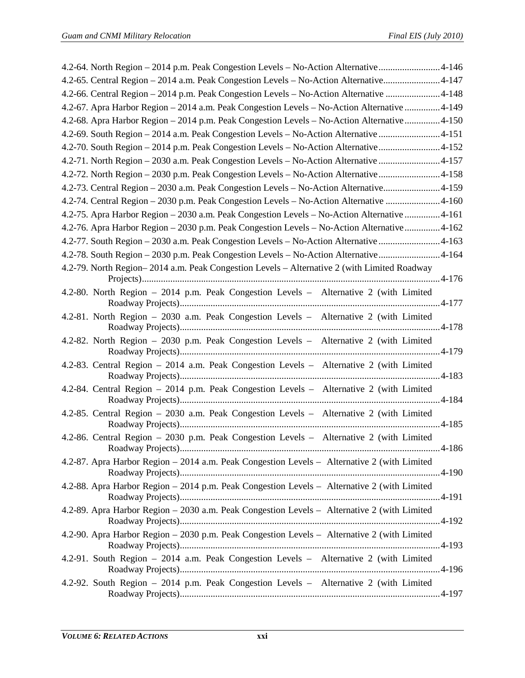| 4.2-64. North Region – 2014 p.m. Peak Congestion Levels – No-Action Alternative4-146         |  |
|----------------------------------------------------------------------------------------------|--|
| 4.2-65. Central Region – 2014 a.m. Peak Congestion Levels – No-Action Alternative4-147       |  |
| 4.2-66. Central Region - 2014 p.m. Peak Congestion Levels - No-Action Alternative 4-148      |  |
| 4.2-67. Apra Harbor Region - 2014 a.m. Peak Congestion Levels - No-Action Alternative  4-149 |  |
| 4.2-68. Apra Harbor Region - 2014 p.m. Peak Congestion Levels - No-Action Alternative 4-150  |  |
| 4.2-69. South Region – 2014 a.m. Peak Congestion Levels – No-Action Alternative  4-151       |  |
| 4.2-70. South Region - 2014 p.m. Peak Congestion Levels - No-Action Alternative4-152         |  |
| 4.2-71. North Region - 2030 a.m. Peak Congestion Levels - No-Action Alternative  4-157       |  |
| 4.2-72. North Region - 2030 p.m. Peak Congestion Levels - No-Action Alternative4-158         |  |
| 4.2-73. Central Region - 2030 a.m. Peak Congestion Levels - No-Action Alternative4-159       |  |
| 4.2-74. Central Region – 2030 p.m. Peak Congestion Levels – No-Action Alternative  4-160     |  |
| 4.2-75. Apra Harbor Region - 2030 a.m. Peak Congestion Levels - No-Action Alternative  4-161 |  |
| 4.2-76. Apra Harbor Region - 2030 p.m. Peak Congestion Levels - No-Action Alternative 4-162  |  |
| 4.2-77. South Region - 2030 a.m. Peak Congestion Levels - No-Action Alternative 4-163        |  |
| 4.2-78. South Region – 2030 p.m. Peak Congestion Levels – No-Action Alternative4-164         |  |
| 4.2-79. North Region–2014 a.m. Peak Congestion Levels – Alternative 2 (with Limited Roadway  |  |
|                                                                                              |  |
| 4.2-80. North Region – 2014 p.m. Peak Congestion Levels – Alternative 2 (with Limited        |  |
| 4.2-81. North Region - 2030 a.m. Peak Congestion Levels - Alternative 2 (with Limited        |  |
| 4.2-82. North Region - 2030 p.m. Peak Congestion Levels - Alternative 2 (with Limited        |  |
| 4.2-83. Central Region - 2014 a.m. Peak Congestion Levels - Alternative 2 (with Limited      |  |
| 4.2-84. Central Region - 2014 p.m. Peak Congestion Levels - Alternative 2 (with Limited      |  |
|                                                                                              |  |
| 4.2-85. Central Region - 2030 a.m. Peak Congestion Levels - Alternative 2 (with Limited      |  |
| 4.2-86. Central Region - 2030 p.m. Peak Congestion Levels - Alternative 2 (with Limited      |  |
|                                                                                              |  |
| 4.2-87. Apra Harbor Region – 2014 a.m. Peak Congestion Levels – Alternative 2 (with Limited  |  |
| 4.2-88. Apra Harbor Region – 2014 p.m. Peak Congestion Levels – Alternative 2 (with Limited  |  |
| 4.2-89. Apra Harbor Region - 2030 a.m. Peak Congestion Levels - Alternative 2 (with Limited  |  |
| 4.2-90. Apra Harbor Region – 2030 p.m. Peak Congestion Levels – Alternative 2 (with Limited  |  |
| 4.2-91. South Region - 2014 a.m. Peak Congestion Levels - Alternative 2 (with Limited        |  |
|                                                                                              |  |
| 4.2-92. South Region - 2014 p.m. Peak Congestion Levels - Alternative 2 (with Limited        |  |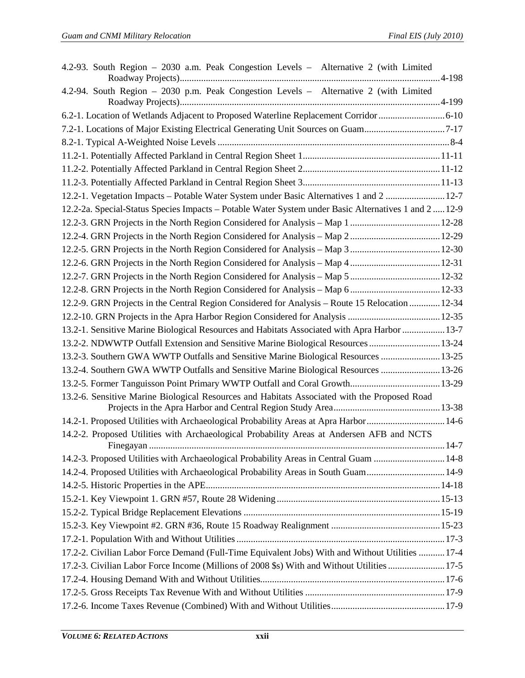| 4.2-93. South Region - 2030 a.m. Peak Congestion Levels - Alternative 2 (with Limited               |      |
|-----------------------------------------------------------------------------------------------------|------|
| 4.2-94. South Region - 2030 p.m. Peak Congestion Levels - Alternative 2 (with Limited               |      |
| 6.2-1. Location of Wetlands Adjacent to Proposed Waterline Replacement Corridor 6-10                |      |
| 7.2-1. Locations of Major Existing Electrical Generating Unit Sources on Guam7-17                   |      |
|                                                                                                     |      |
|                                                                                                     |      |
|                                                                                                     |      |
|                                                                                                     |      |
| 12.2-1. Vegetation Impacts - Potable Water System under Basic Alternatives 1 and 2  12-7            |      |
| 12.2-2a. Special-Status Species Impacts - Potable Water System under Basic Alternatives 1 and 212-9 |      |
|                                                                                                     |      |
|                                                                                                     |      |
|                                                                                                     |      |
|                                                                                                     |      |
|                                                                                                     |      |
|                                                                                                     |      |
| 12.2-9. GRN Projects in the Central Region Considered for Analysis - Route 15 Relocation  12-34     |      |
|                                                                                                     |      |
| 13.2-1. Sensitive Marine Biological Resources and Habitats Associated with Apra Harbor  13-7        |      |
| 13.2-2. NDWWTP Outfall Extension and Sensitive Marine Biological Resources  13-24                   |      |
| 13.2-3. Southern GWA WWTP Outfalls and Sensitive Marine Biological Resources  13-25                 |      |
| 13.2-4. Southern GWA WWTP Outfalls and Sensitive Marine Biological Resources  13-26                 |      |
|                                                                                                     |      |
| 13.2-6. Sensitive Marine Biological Resources and Habitats Associated with the Proposed Road        |      |
| 14.2-1. Proposed Utilities with Archaeological Probability Areas at Apra Harbor14-6                 |      |
| 14.2-2. Proposed Utilities with Archaeological Probability Areas at Andersen AFB and NCTS           | 14-7 |
| 14.2-3. Proposed Utilities with Archaeological Probability Areas in Central Guam  14-8              |      |
| 14.2-4. Proposed Utilities with Archaeological Probability Areas in South Guam14-9                  |      |
|                                                                                                     |      |
|                                                                                                     |      |
|                                                                                                     |      |
|                                                                                                     |      |
|                                                                                                     |      |
| 17.2-2. Civilian Labor Force Demand (Full-Time Equivalent Jobs) With and Without Utilities  17-4    |      |
| 17.2-3. Civilian Labor Force Income (Millions of 2008 \$s) With and Without Utilities  17-5         |      |
|                                                                                                     |      |
|                                                                                                     |      |
|                                                                                                     |      |
|                                                                                                     |      |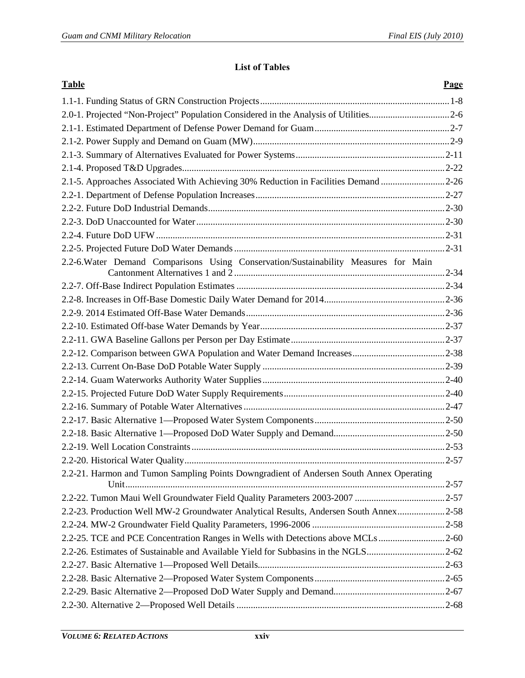#### **List of Tables**

| <b>Table</b>                                                                            | Page |
|-----------------------------------------------------------------------------------------|------|
|                                                                                         |      |
| 2.0-1. Projected "Non-Project" Population Considered in the Analysis of Utilities2-6    |      |
|                                                                                         |      |
|                                                                                         |      |
|                                                                                         |      |
|                                                                                         |      |
| 2.1-5. Approaches Associated With Achieving 30% Reduction in Facilities Demand 2-26     |      |
|                                                                                         |      |
|                                                                                         |      |
|                                                                                         |      |
|                                                                                         |      |
|                                                                                         |      |
| 2.2-6. Water Demand Comparisons Using Conservation/Sustainability Measures for Main     |      |
|                                                                                         |      |
|                                                                                         |      |
|                                                                                         |      |
|                                                                                         |      |
|                                                                                         |      |
|                                                                                         |      |
|                                                                                         |      |
|                                                                                         |      |
|                                                                                         |      |
|                                                                                         |      |
|                                                                                         |      |
|                                                                                         |      |
|                                                                                         |      |
|                                                                                         |      |
| 2.2-21. Harmon and Tumon Sampling Points Downgradient of Andersen South Annex Operating |      |
|                                                                                         |      |
| 2.2-23. Production Well MW-2 Groundwater Analytical Results, Andersen South Annex2-58   |      |
|                                                                                         |      |
| 2.2-25. TCE and PCE Concentration Ranges in Wells with Detections above MCLs 2-60       |      |
| 2.2-26. Estimates of Sustainable and Available Yield for Subbasins in the NGLS2-62      |      |
|                                                                                         |      |
|                                                                                         |      |
|                                                                                         |      |
|                                                                                         |      |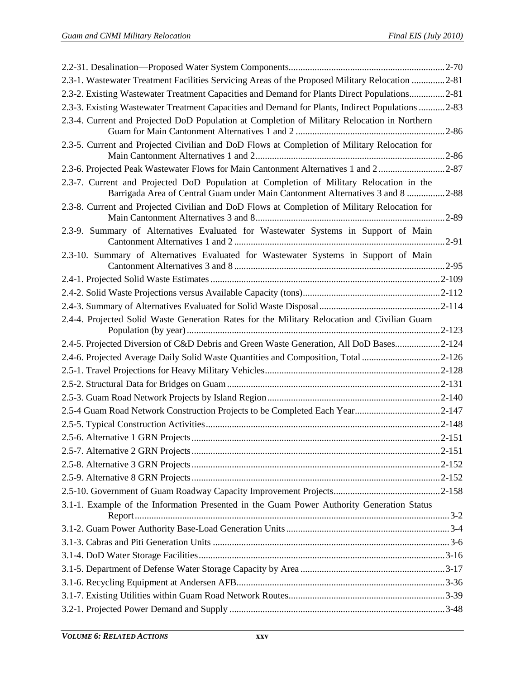| 2.3-1. Wastewater Treatment Facilities Servicing Areas of the Proposed Military Relocation 2-81                                                                           |           |
|---------------------------------------------------------------------------------------------------------------------------------------------------------------------------|-----------|
| 2.3-2. Existing Wastewater Treatment Capacities and Demand for Plants Direct Populations2-81                                                                              |           |
| 2.3-3. Existing Wastewater Treatment Capacities and Demand for Plants, Indirect Populations 2-83                                                                          |           |
| 2.3-4. Current and Projected DoD Population at Completion of Military Relocation in Northern                                                                              |           |
| 2.3-5. Current and Projected Civilian and DoD Flows at Completion of Military Relocation for                                                                              |           |
| 2.3-6. Projected Peak Wastewater Flows for Main Cantonment Alternatives 1 and 22-87                                                                                       |           |
| 2.3-7. Current and Projected DoD Population at Completion of Military Relocation in the<br>Barrigada Area of Central Guam under Main Cantonment Alternatives 3 and 8 2-88 |           |
| 2.3-8. Current and Projected Civilian and DoD Flows at Completion of Military Relocation for                                                                              |           |
| 2.3-9. Summary of Alternatives Evaluated for Wastewater Systems in Support of Main                                                                                        | $.2 - 91$ |
| 2.3-10. Summary of Alternatives Evaluated for Wastewater Systems in Support of Main                                                                                       |           |
|                                                                                                                                                                           |           |
|                                                                                                                                                                           |           |
|                                                                                                                                                                           |           |
| 2.4-4. Projected Solid Waste Generation Rates for the Military Relocation and Civilian Guam                                                                               |           |
| 2.4-5. Projected Diversion of C&D Debris and Green Waste Generation, All DoD Bases2-124                                                                                   |           |
| 2.4-6. Projected Average Daily Solid Waste Quantities and Composition, Total 2-126                                                                                        |           |
|                                                                                                                                                                           |           |
|                                                                                                                                                                           |           |
|                                                                                                                                                                           |           |
| 2.5-4 Guam Road Network Construction Projects to be Completed Each Year2-147                                                                                              |           |
|                                                                                                                                                                           |           |
|                                                                                                                                                                           |           |
|                                                                                                                                                                           |           |
|                                                                                                                                                                           |           |
|                                                                                                                                                                           |           |
|                                                                                                                                                                           |           |
| 3.1-1. Example of the Information Presented in the Guam Power Authority Generation Status                                                                                 |           |
|                                                                                                                                                                           |           |
|                                                                                                                                                                           |           |
|                                                                                                                                                                           |           |
|                                                                                                                                                                           |           |
|                                                                                                                                                                           |           |
|                                                                                                                                                                           |           |
|                                                                                                                                                                           |           |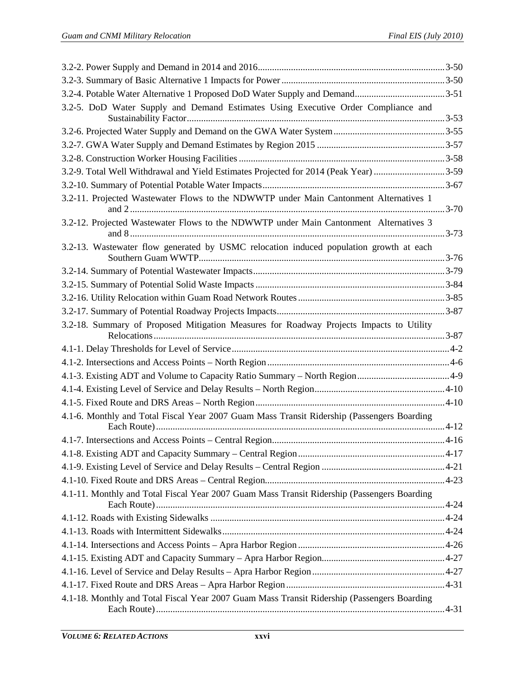| 3.2-4. Potable Water Alternative 1 Proposed DoD Water Supply and Demand3-51                 |  |
|---------------------------------------------------------------------------------------------|--|
| 3.2-5. DoD Water Supply and Demand Estimates Using Executive Order Compliance and           |  |
|                                                                                             |  |
|                                                                                             |  |
|                                                                                             |  |
|                                                                                             |  |
| 3.2-9. Total Well Withdrawal and Yield Estimates Projected for 2014 (Peak Year) 3-59        |  |
|                                                                                             |  |
| 3.2-11. Projected Wastewater Flows to the NDWWTP under Main Cantonment Alternatives 1       |  |
| 3.2-12. Projected Wastewater Flows to the NDWWTP under Main Cantonment Alternatives 3       |  |
| 3.2-13. Wastewater flow generated by USMC relocation induced population growth at each      |  |
|                                                                                             |  |
|                                                                                             |  |
|                                                                                             |  |
|                                                                                             |  |
| 3.2-18. Summary of Proposed Mitigation Measures for Roadway Projects Impacts to Utility     |  |
|                                                                                             |  |
|                                                                                             |  |
|                                                                                             |  |
|                                                                                             |  |
|                                                                                             |  |
|                                                                                             |  |
| 4.1-6. Monthly and Total Fiscal Year 2007 Guam Mass Transit Ridership (Passengers Boarding  |  |
|                                                                                             |  |
|                                                                                             |  |
|                                                                                             |  |
|                                                                                             |  |
| 4.1-11. Monthly and Total Fiscal Year 2007 Guam Mass Transit Ridership (Passengers Boarding |  |
|                                                                                             |  |
|                                                                                             |  |
|                                                                                             |  |
|                                                                                             |  |
|                                                                                             |  |
|                                                                                             |  |
|                                                                                             |  |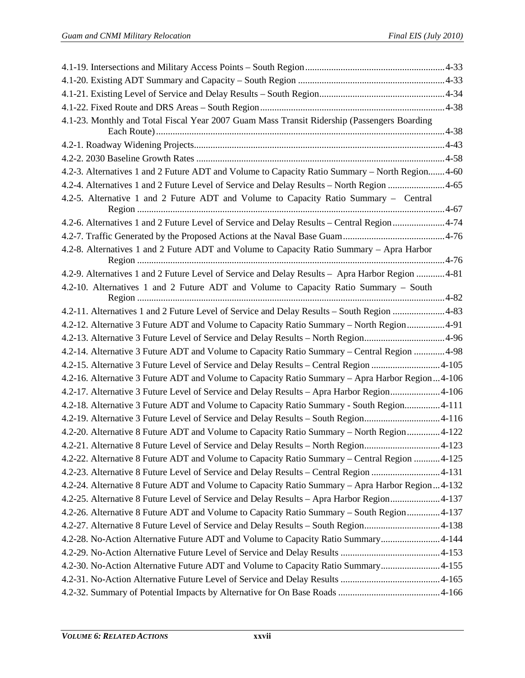| 4.1-23. Monthly and Total Fiscal Year 2007 Guam Mass Transit Ridership (Passengers Boarding      |  |
|--------------------------------------------------------------------------------------------------|--|
|                                                                                                  |  |
|                                                                                                  |  |
| 4.2-3. Alternatives 1 and 2 Future ADT and Volume to Capacity Ratio Summary - North Region 4-60  |  |
| 4.2-4. Alternatives 1 and 2 Future Level of Service and Delay Results – North Region 4-65        |  |
| 4.2-5. Alternative 1 and 2 Future ADT and Volume to Capacity Ratio Summary – Central             |  |
| 4.2-6. Alternatives 1 and 2 Future Level of Service and Delay Results – Central Region 4-74      |  |
|                                                                                                  |  |
| 4.2-8. Alternatives 1 and 2 Future ADT and Volume to Capacity Ratio Summary – Apra Harbor        |  |
| 4.2-9. Alternatives 1 and 2 Future Level of Service and Delay Results - Apra Harbor Region  4-81 |  |
| 4.2-10. Alternatives 1 and 2 Future ADT and Volume to Capacity Ratio Summary - South             |  |
| 4.2-11. Alternatives 1 and 2 Future Level of Service and Delay Results - South Region 4-83       |  |
| 4.2-12. Alternative 3 Future ADT and Volume to Capacity Ratio Summary - North Region4-91         |  |
| 4.2-13. Alternative 3 Future Level of Service and Delay Results - North Region4-96               |  |
| 4.2-14. Alternative 3 Future ADT and Volume to Capacity Ratio Summary - Central Region  4-98     |  |
| 4.2-15. Alternative 3 Future Level of Service and Delay Results - Central Region 4-105           |  |
| 4.2-16. Alternative 3 Future ADT and Volume to Capacity Ratio Summary - Apra Harbor Region4-106  |  |
| 4.2-17. Alternative 3 Future Level of Service and Delay Results - Apra Harbor Region4-106        |  |
| 4.2-18. Alternative 3 Future ADT and Volume to Capacity Ratio Summary - South Region 4-111       |  |
| 4.2-19. Alternative 3 Future Level of Service and Delay Results - South Region4-116              |  |
| 4.2-20. Alternative 8 Future ADT and Volume to Capacity Ratio Summary – North Region4-122        |  |
| 4.2-21. Alternative 8 Future Level of Service and Delay Results - North Region4-123              |  |
| 4.2-22. Alternative 8 Future ADT and Volume to Capacity Ratio Summary – Central Region 4-125     |  |
| 4.2-23. Alternative 8 Future Level of Service and Delay Results - Central Region 4-131           |  |
| 4.2-24. Alternative 8 Future ADT and Volume to Capacity Ratio Summary - Apra Harbor Region4-132  |  |
| 4.2-25. Alternative 8 Future Level of Service and Delay Results – Apra Harbor Region4-137        |  |
| 4.2-26. Alternative 8 Future ADT and Volume to Capacity Ratio Summary – South Region4-137        |  |
| 4.2-27. Alternative 8 Future Level of Service and Delay Results - South Region4-138              |  |
| 4.2-28. No-Action Alternative Future ADT and Volume to Capacity Ratio Summary4-144               |  |
|                                                                                                  |  |
| 4.2-30. No-Action Alternative Future ADT and Volume to Capacity Ratio Summary4-155               |  |
|                                                                                                  |  |
|                                                                                                  |  |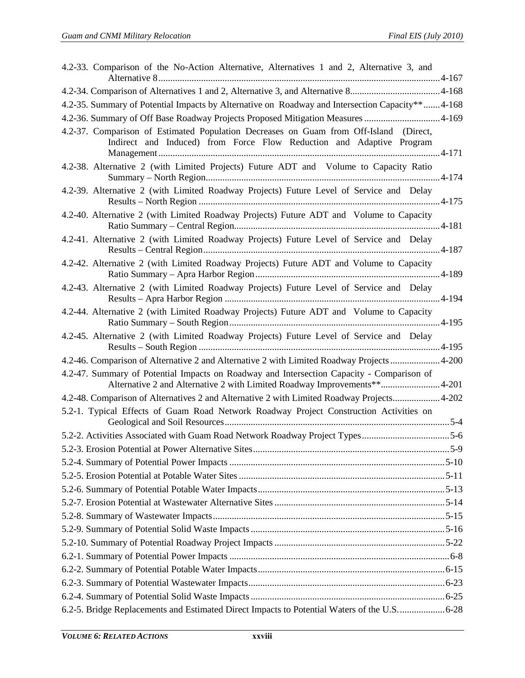| 4.2-33. Comparison of the No-Action Alternative, Alternatives 1 and 2, Alternative 3, and                                                                             |  |
|-----------------------------------------------------------------------------------------------------------------------------------------------------------------------|--|
|                                                                                                                                                                       |  |
| 4.2-35. Summary of Potential Impacts by Alternative on Roadway and Intersection Capacity** 4-168                                                                      |  |
| 4.2-36. Summary of Off Base Roadway Projects Proposed Mitigation Measures 4-169                                                                                       |  |
| 4.2-37. Comparison of Estimated Population Decreases on Guam from Off-Island (Direct,<br>Indirect and Induced) from Force Flow Reduction and Adaptive Program         |  |
| 4.2-38. Alternative 2 (with Limited Projects) Future ADT and Volume to Capacity Ratio                                                                                 |  |
| 4.2-39. Alternative 2 (with Limited Roadway Projects) Future Level of Service and Delay                                                                               |  |
| 4.2-40. Alternative 2 (with Limited Roadway Projects) Future ADT and Volume to Capacity                                                                               |  |
| 4.2-41. Alternative 2 (with Limited Roadway Projects) Future Level of Service and Delay                                                                               |  |
| 4.2-42. Alternative 2 (with Limited Roadway Projects) Future ADT and Volume to Capacity                                                                               |  |
| 4.2-43. Alternative 2 (with Limited Roadway Projects) Future Level of Service and Delay                                                                               |  |
| 4.2-44. Alternative 2 (with Limited Roadway Projects) Future ADT and Volume to Capacity                                                                               |  |
| 4.2-45. Alternative 2 (with Limited Roadway Projects) Future Level of Service and Delay                                                                               |  |
| 4.2-46. Comparison of Alternative 2 and Alternative 2 with Limited Roadway Projects 4-200                                                                             |  |
| 4.2-47. Summary of Potential Impacts on Roadway and Intersection Capacity - Comparison of<br>Alternative 2 and Alternative 2 with Limited Roadway Improvements**4-201 |  |
| 4.2-48. Comparison of Alternatives 2 and Alternative 2 with Limited Roadway Projects 4-202                                                                            |  |
| 5.2-1. Typical Effects of Guam Road Network Roadway Project Construction Activities on                                                                                |  |
|                                                                                                                                                                       |  |
|                                                                                                                                                                       |  |
|                                                                                                                                                                       |  |
|                                                                                                                                                                       |  |
|                                                                                                                                                                       |  |
|                                                                                                                                                                       |  |
|                                                                                                                                                                       |  |
|                                                                                                                                                                       |  |
|                                                                                                                                                                       |  |
|                                                                                                                                                                       |  |
|                                                                                                                                                                       |  |
|                                                                                                                                                                       |  |
|                                                                                                                                                                       |  |
| 6.2-5. Bridge Replacements and Estimated Direct Impacts to Potential Waters of the U.S6-28                                                                            |  |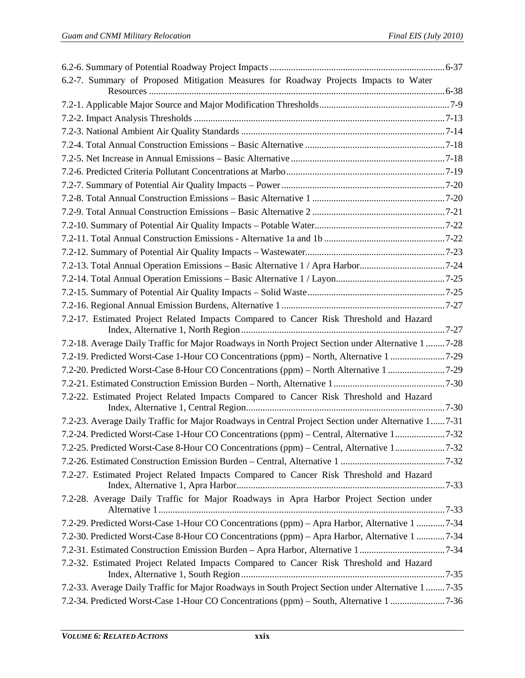| 6.2-7. Summary of Proposed Mitigation Measures for Roadway Projects Impacts to Water                 |  |
|------------------------------------------------------------------------------------------------------|--|
|                                                                                                      |  |
|                                                                                                      |  |
|                                                                                                      |  |
|                                                                                                      |  |
|                                                                                                      |  |
|                                                                                                      |  |
|                                                                                                      |  |
|                                                                                                      |  |
|                                                                                                      |  |
|                                                                                                      |  |
|                                                                                                      |  |
|                                                                                                      |  |
|                                                                                                      |  |
| 7.2-13. Total Annual Operation Emissions - Basic Alternative 1 / Apra Harbor7-24                     |  |
|                                                                                                      |  |
|                                                                                                      |  |
|                                                                                                      |  |
| 7.2-17. Estimated Project Related Impacts Compared to Cancer Risk Threshold and Hazard               |  |
|                                                                                                      |  |
| 7.2-18. Average Daily Traffic for Major Roadways in North Project Section under Alternative 1  7-28  |  |
| 7.2-19. Predicted Worst-Case 1-Hour CO Concentrations (ppm) - North, Alternative 1 7-29              |  |
| 7.2-20. Predicted Worst-Case 8-Hour CO Concentrations (ppm) – North Alternative 1 7-29               |  |
|                                                                                                      |  |
| 7.2-22. Estimated Project Related Impacts Compared to Cancer Risk Threshold and Hazard               |  |
| 7.2-23. Average Daily Traffic for Major Roadways in Central Project Section under Alternative 1 7-31 |  |
| 7.2-24. Predicted Worst-Case 1-Hour CO Concentrations (ppm) - Central, Alternative 17-32             |  |
| 7.2-25. Predicted Worst-Case 8-Hour CO Concentrations (ppm) – Central, Alternative 17-32             |  |
|                                                                                                      |  |
| 7.2-27. Estimated Project Related Impacts Compared to Cancer Risk Threshold and Hazard               |  |
| 7.2-28. Average Daily Traffic for Major Roadways in Apra Harbor Project Section under                |  |
| 7.2-29. Predicted Worst-Case 1-Hour CO Concentrations (ppm) - Apra Harbor, Alternative 1 7-34        |  |
| 7.2-30. Predicted Worst-Case 8-Hour CO Concentrations (ppm) - Apra Harbor, Alternative 1 7-34        |  |
| 7.2-31. Estimated Construction Emission Burden - Apra Harbor, Alternative 17-34                      |  |
| 7.2-32. Estimated Project Related Impacts Compared to Cancer Risk Threshold and Hazard               |  |
|                                                                                                      |  |
| 7.2-33. Average Daily Traffic for Major Roadways in South Project Section under Alternative 1  7-35  |  |
|                                                                                                      |  |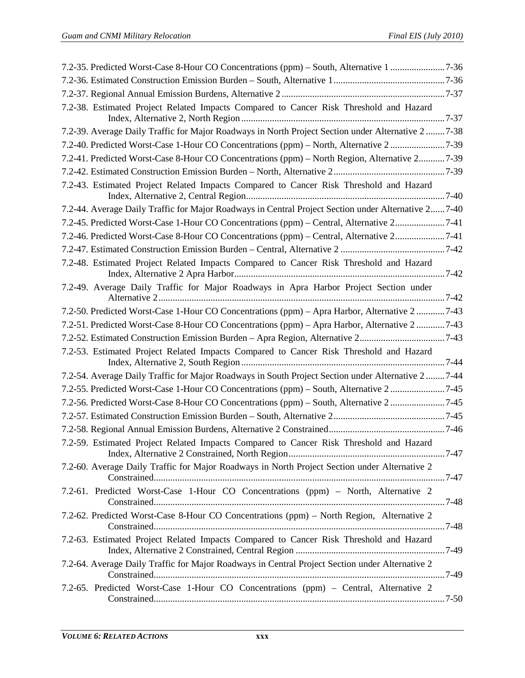| 7.2-38. Estimated Project Related Impacts Compared to Cancer Risk Threshold and Hazard               |  |
|------------------------------------------------------------------------------------------------------|--|
| 7.2-39. Average Daily Traffic for Major Roadways in North Project Section under Alternative 2  7-38  |  |
| 7.2-40. Predicted Worst-Case 1-Hour CO Concentrations (ppm) - North, Alternative 2 7-39              |  |
| 7.2-41. Predicted Worst-Case 8-Hour CO Concentrations (ppm) – North Region, Alternative 2 7-39       |  |
|                                                                                                      |  |
| 7.2-43. Estimated Project Related Impacts Compared to Cancer Risk Threshold and Hazard               |  |
| 7.2-44. Average Daily Traffic for Major Roadways in Central Project Section under Alternative 2 7-40 |  |
| 7.2-45. Predicted Worst-Case 1-Hour CO Concentrations (ppm) - Central, Alternative 27-41             |  |
| 7.2-46. Predicted Worst-Case 8-Hour CO Concentrations (ppm) – Central, Alternative 27-41             |  |
|                                                                                                      |  |
| 7.2-48. Estimated Project Related Impacts Compared to Cancer Risk Threshold and Hazard               |  |
| 7.2-49. Average Daily Traffic for Major Roadways in Apra Harbor Project Section under                |  |
| 7.2-50. Predicted Worst-Case 1-Hour CO Concentrations (ppm) – Apra Harbor, Alternative 2  7-43       |  |
| 7.2-51. Predicted Worst-Case 8-Hour CO Concentrations (ppm) – Apra Harbor, Alternative 2  7-43       |  |
| 7.2-52. Estimated Construction Emission Burden - Apra Region, Alternative 27-43                      |  |
| 7.2-53. Estimated Project Related Impacts Compared to Cancer Risk Threshold and Hazard               |  |
| 7.2-54. Average Daily Traffic for Major Roadways in South Project Section under Alternative 27-44    |  |
| 7.2-55. Predicted Worst-Case 1-Hour CO Concentrations (ppm) – South, Alternative 2 7-45              |  |
| 7.2-56. Predicted Worst-Case 8-Hour CO Concentrations (ppm) - South, Alternative 2 7-45              |  |
|                                                                                                      |  |
|                                                                                                      |  |
| 7.2-59. Estimated Project Related Impacts Compared to Cancer Risk Threshold and Hazard               |  |
| 7.2-60. Average Daily Traffic for Major Roadways in North Project Section under Alternative 2        |  |
| 7.2-61. Predicted Worst-Case 1-Hour CO Concentrations (ppm) - North, Alternative 2                   |  |
| 7.2-62. Predicted Worst-Case 8-Hour CO Concentrations (ppm) – North Region, Alternative 2            |  |
| 7.2-63. Estimated Project Related Impacts Compared to Cancer Risk Threshold and Hazard               |  |
| 7.2-64. Average Daily Traffic for Major Roadways in Central Project Section under Alternative 2      |  |
| 7.2-65. Predicted Worst-Case 1-Hour CO Concentrations (ppm) - Central, Alternative 2                 |  |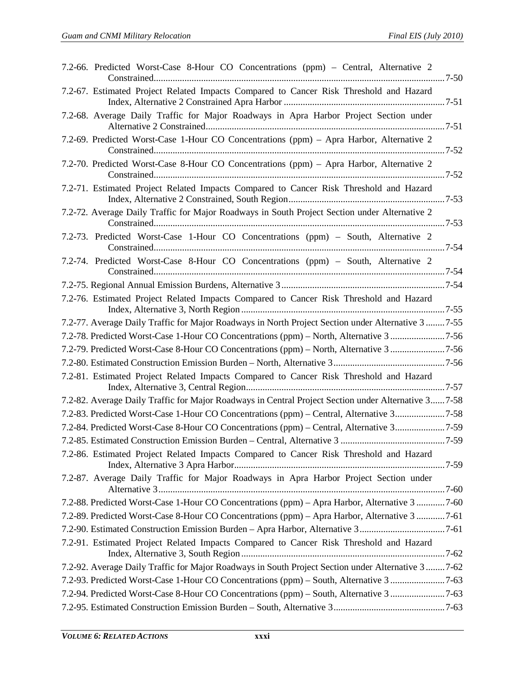| 7.2-66. Predicted Worst-Case 8-Hour CO Concentrations (ppm) - Central, Alternative 2                 |
|------------------------------------------------------------------------------------------------------|
| 7.2-67. Estimated Project Related Impacts Compared to Cancer Risk Threshold and Hazard               |
| 7.2-68. Average Daily Traffic for Major Roadways in Apra Harbor Project Section under                |
| 7.2-69. Predicted Worst-Case 1-Hour CO Concentrations (ppm) – Apra Harbor, Alternative 2             |
| 7.2-70. Predicted Worst-Case 8-Hour CO Concentrations (ppm) - Apra Harbor, Alternative 2             |
| 7.2-71. Estimated Project Related Impacts Compared to Cancer Risk Threshold and Hazard               |
| 7.2-72. Average Daily Traffic for Major Roadways in South Project Section under Alternative 2        |
| 7.2-73. Predicted Worst-Case 1-Hour CO Concentrations (ppm) - South, Alternative 2                   |
| 7.2-74. Predicted Worst-Case 8-Hour CO Concentrations (ppm) – South, Alternative 2                   |
|                                                                                                      |
| 7.2-76. Estimated Project Related Impacts Compared to Cancer Risk Threshold and Hazard               |
| 7.2-77. Average Daily Traffic for Major Roadways in North Project Section under Alternative 3  7-55  |
|                                                                                                      |
|                                                                                                      |
|                                                                                                      |
| 7.2-81. Estimated Project Related Impacts Compared to Cancer Risk Threshold and Hazard               |
| 7.2-82. Average Daily Traffic for Major Roadways in Central Project Section under Alternative 3 7-58 |
| 7.2-83. Predicted Worst-Case 1-Hour CO Concentrations (ppm) – Central, Alternative 37-58             |
| 7.2-84. Predicted Worst-Case 8-Hour CO Concentrations (ppm) – Central, Alternative 37-59             |
|                                                                                                      |
| 7.2-86. Estimated Project Related Impacts Compared to Cancer Risk Threshold and Hazard               |
| 7.2-87. Average Daily Traffic for Major Roadways in Apra Harbor Project Section under                |
| 7.2-88. Predicted Worst-Case 1-Hour CO Concentrations (ppm) - Apra Harbor, Alternative 3 7-60        |
| 7.2-89. Predicted Worst-Case 8-Hour CO Concentrations (ppm) - Apra Harbor, Alternative 3 7-61        |
| 7.2-90. Estimated Construction Emission Burden - Apra Harbor, Alternative 37-61                      |
| 7.2-91. Estimated Project Related Impacts Compared to Cancer Risk Threshold and Hazard               |
| 7.2-92. Average Daily Traffic for Major Roadways in South Project Section under Alternative 3  7-62  |
| 7.2-93. Predicted Worst-Case 1-Hour CO Concentrations (ppm) - South, Alternative 3 7-63              |
| 7.2-94. Predicted Worst-Case 8-Hour CO Concentrations (ppm) – South, Alternative 3 7-63              |
|                                                                                                      |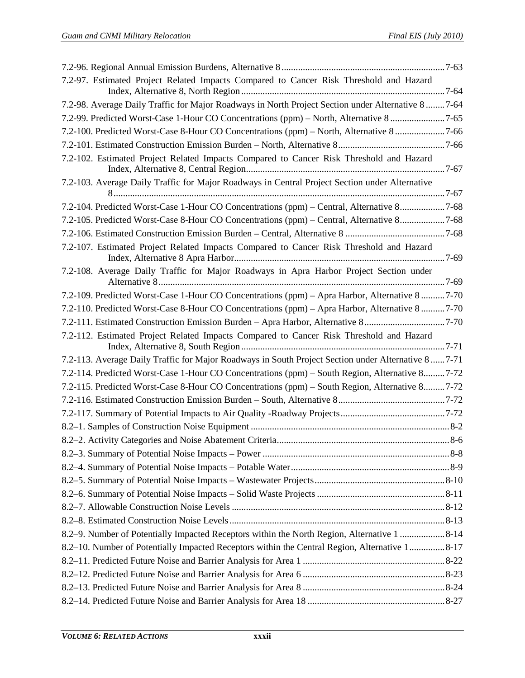| 7.2-97. Estimated Project Related Impacts Compared to Cancer Risk Threshold and Hazard              |  |
|-----------------------------------------------------------------------------------------------------|--|
|                                                                                                     |  |
| 7.2-98. Average Daily Traffic for Major Roadways in North Project Section under Alternative 8 7-64  |  |
| 7.2-99. Predicted Worst-Case 1-Hour CO Concentrations (ppm) – North, Alternative 8 7-65             |  |
| 7.2-100. Predicted Worst-Case 8-Hour CO Concentrations (ppm) - North, Alternative 87-66             |  |
|                                                                                                     |  |
| 7.2-102. Estimated Project Related Impacts Compared to Cancer Risk Threshold and Hazard             |  |
| 7.2-103. Average Daily Traffic for Major Roadways in Central Project Section under Alternative      |  |
| 7.2-104. Predicted Worst-Case 1-Hour CO Concentrations (ppm) - Central, Alternative 87-68           |  |
| 7.2-105. Predicted Worst-Case 8-Hour CO Concentrations (ppm) - Central, Alternative 87-68           |  |
|                                                                                                     |  |
| 7.2-107. Estimated Project Related Impacts Compared to Cancer Risk Threshold and Hazard             |  |
| 7.2-108. Average Daily Traffic for Major Roadways in Apra Harbor Project Section under              |  |
|                                                                                                     |  |
| 7.2-109. Predicted Worst-Case 1-Hour CO Concentrations (ppm) - Apra Harbor, Alternative 8 7-70      |  |
| 7.2-110. Predicted Worst-Case 8-Hour CO Concentrations (ppm) – Apra Harbor, Alternative 8  7-70     |  |
| 7.2-111. Estimated Construction Emission Burden - Apra Harbor, Alternative 87-70                    |  |
| 7.2-112. Estimated Project Related Impacts Compared to Cancer Risk Threshold and Hazard             |  |
| 7.2-113. Average Daily Traffic for Major Roadways in South Project Section under Alternative 8 7-71 |  |
| 7.2-114. Predicted Worst-Case 1-Hour CO Concentrations (ppm) - South Region, Alternative 87-72      |  |
| 7.2-115. Predicted Worst-Case 8-Hour CO Concentrations (ppm) – South Region, Alternative 8 7-72     |  |
|                                                                                                     |  |
|                                                                                                     |  |
|                                                                                                     |  |
|                                                                                                     |  |
|                                                                                                     |  |
|                                                                                                     |  |
|                                                                                                     |  |
|                                                                                                     |  |
|                                                                                                     |  |
|                                                                                                     |  |
| 8.2–9. Number of Potentially Impacted Receptors within the North Region, Alternative 1 8-14         |  |
| 8.2–10. Number of Potentially Impacted Receptors within the Central Region, Alternative 18-17       |  |
|                                                                                                     |  |
|                                                                                                     |  |
|                                                                                                     |  |
|                                                                                                     |  |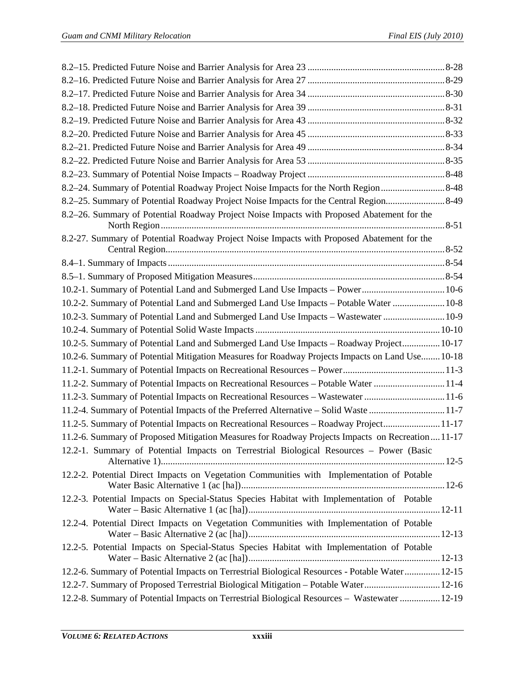| 8.2-24. Summary of Potential Roadway Project Noise Impacts for the North Region 8-48             |  |
|--------------------------------------------------------------------------------------------------|--|
| 8.2–25. Summary of Potential Roadway Project Noise Impacts for the Central Region8-49            |  |
| 8.2-26. Summary of Potential Roadway Project Noise Impacts with Proposed Abatement for the       |  |
| 8.2-27. Summary of Potential Roadway Project Noise Impacts with Proposed Abatement for the       |  |
|                                                                                                  |  |
|                                                                                                  |  |
| 10.2-1. Summary of Potential Land and Submerged Land Use Impacts - Power 10-6                    |  |
| 10.2-2. Summary of Potential Land and Submerged Land Use Impacts - Potable Water  10-8           |  |
| 10.2-3. Summary of Potential Land and Submerged Land Use Impacts - Wastewater  10-9              |  |
|                                                                                                  |  |
| 10.2-5. Summary of Potential Land and Submerged Land Use Impacts - Roadway Project 10-17         |  |
| 10.2-6. Summary of Potential Mitigation Measures for Roadway Projects Impacts on Land Use 10-18  |  |
|                                                                                                  |  |
| 11.2-2. Summary of Potential Impacts on Recreational Resources - Potable Water 11-4              |  |
| 11.2-3. Summary of Potential Impacts on Recreational Resources - Wastewater 11-6                 |  |
| 11.2-4. Summary of Potential Impacts of the Preferred Alternative - Solid Waste 11-7             |  |
| 11.2-5. Summary of Potential Impacts on Recreational Resources - Roadway Project 11-17           |  |
| 11.2-6. Summary of Proposed Mitigation Measures for Roadway Projects Impacts on Recreation 11-17 |  |
| 12.2-1. Summary of Potential Impacts on Terrestrial Biological Resources - Power (Basic          |  |
| 12.2-2. Potential Direct Impacts on Vegetation Communities with Implementation of Potable        |  |
| 12.2-3. Potential Impacts on Special-Status Species Habitat with Implementation of Potable       |  |
| 12.2-4. Potential Direct Impacts on Vegetation Communities with Implementation of Potable        |  |
| 12.2-5. Potential Impacts on Special-Status Species Habitat with Implementation of Potable       |  |
| 12.2-6. Summary of Potential Impacts on Terrestrial Biological Resources - Potable Water 12-15   |  |
| 12.2-7. Summary of Proposed Terrestrial Biological Mitigation - Potable Water 12-16              |  |
| 12.2-8. Summary of Potential Impacts on Terrestrial Biological Resources - Wastewater  12-19     |  |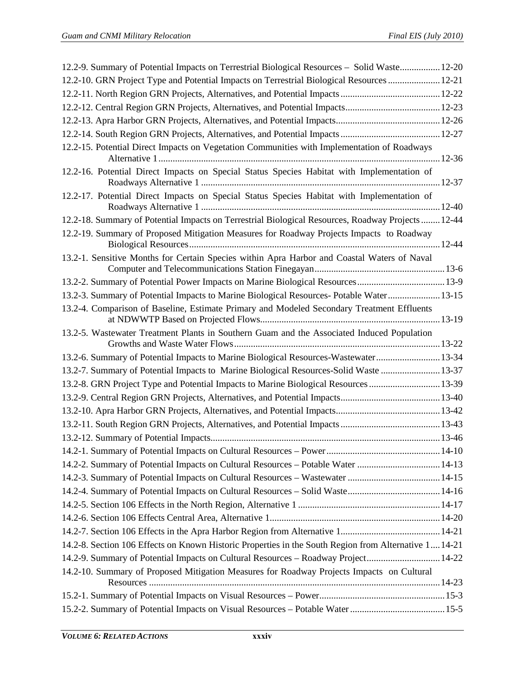| 12.2-9. Summary of Potential Impacts on Terrestrial Biological Resources – Solid Waste 12-20          |
|-------------------------------------------------------------------------------------------------------|
| 12-21. GRN Project Type and Potential Impacts on Terrestrial Biological Resources  12-21              |
|                                                                                                       |
|                                                                                                       |
|                                                                                                       |
|                                                                                                       |
| 12.2-15. Potential Direct Impacts on Vegetation Communities with Implementation of Roadways           |
| 12.2-16. Potential Direct Impacts on Special Status Species Habitat with Implementation of            |
| 12.2-17. Potential Direct Impacts on Special Status Species Habitat with Implementation of            |
| 12.2-18. Summary of Potential Impacts on Terrestrial Biological Resources, Roadway Projects  12-44    |
| 12.2-19. Summary of Proposed Mitigation Measures for Roadway Projects Impacts to Roadway              |
| 13.2-1. Sensitive Months for Certain Species within Apra Harbor and Coastal Waters of Naval           |
| 13.2-2. Summary of Potential Power Impacts on Marine Biological Resources 13-9                        |
| 13.2-3. Summary of Potential Impacts to Marine Biological Resources- Potable Water 13-15              |
| 13.2-4. Comparison of Baseline, Estimate Primary and Modeled Secondary Treatment Effluents            |
| 13.2-5. Wastewater Treatment Plants in Southern Guam and the Associated Induced Population            |
| 13.2-6. Summary of Potential Impacts to Marine Biological Resources-Wastewater 13-34                  |
| 13-2-7. Summary of Potential Impacts to Marine Biological Resources-Solid Waste  13-37                |
| 13.2-8. GRN Project Type and Potential Impacts to Marine Biological Resources  13-39                  |
|                                                                                                       |
|                                                                                                       |
|                                                                                                       |
|                                                                                                       |
|                                                                                                       |
| 14.2-2. Summary of Potential Impacts on Cultural Resources - Potable Water  14-13                     |
|                                                                                                       |
|                                                                                                       |
|                                                                                                       |
|                                                                                                       |
|                                                                                                       |
| 14.2-8. Section 106 Effects on Known Historic Properties in the South Region from Alternative 1 14-21 |
| 14.2-9. Summary of Potential Impacts on Cultural Resources - Roadway Project 14-22                    |
| 14.2-10. Summary of Proposed Mitigation Measures for Roadway Projects Impacts on Cultural             |
|                                                                                                       |
| 15-5.2-2. Summary of Potential Impacts on Visual Resources - Potable Water15-5                        |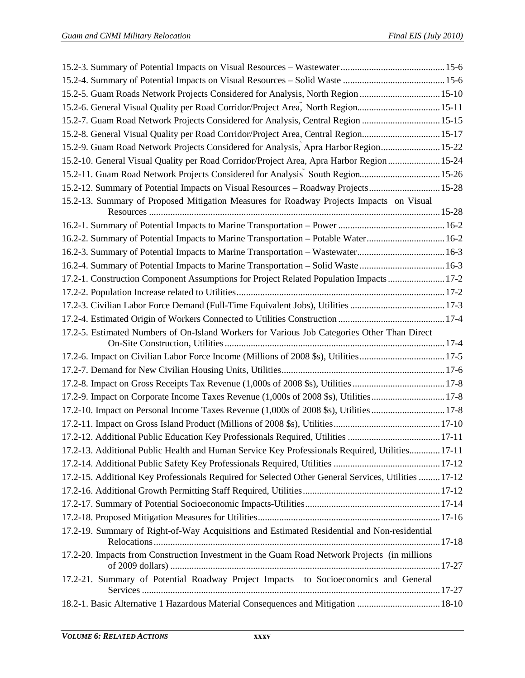| 15-10 15.2-5. Guam Roads Network Projects Considered for Analysis, North Region  15-10               |  |
|------------------------------------------------------------------------------------------------------|--|
| 15-2-6. General Visual Quality per Road Corridor/Project Area, North Region15-11                     |  |
|                                                                                                      |  |
| 15-2-8. General Visual Quality per Road Corridor/Project Area, Central Region 15-17                  |  |
| 15-22 Guam Road Network Projects Considered for Analysis, Apra Harbor Region 15-22                   |  |
| 15-24. General Visual Quality per Road Corridor/Project Area, Apra Harbor Region  15-24              |  |
| 15.2-11. Guam Road Network Projects Considered for Analysis South Region 15-26                       |  |
| 15.2-12. Summary of Potential Impacts on Visual Resources - Roadway Projects 15-28                   |  |
| 15.2-13. Summary of Proposed Mitigation Measures for Roadway Projects Impacts on Visual              |  |
|                                                                                                      |  |
|                                                                                                      |  |
| 16.2-2. Summary of Potential Impacts to Marine Transportation - Potable Water 16-2                   |  |
| 16.2-3. Summary of Potential Impacts to Marine Transportation - Wastewater 16-3                      |  |
| 16.2-4. Summary of Potential Impacts to Marine Transportation - Solid Waste  16-3                    |  |
| 17.2-1. Construction Component Assumptions for Project Related Population Impacts 17-2               |  |
|                                                                                                      |  |
| 17.2-3. Civilian Labor Force Demand (Full-Time Equivalent Jobs), Utilities 17-3                      |  |
|                                                                                                      |  |
| 17.2-5. Estimated Numbers of On-Island Workers for Various Job Categories Other Than Direct          |  |
| 17.2-6. Impact on Civilian Labor Force Income (Millions of 2008 \$s), Utilities17-5                  |  |
|                                                                                                      |  |
|                                                                                                      |  |
| 17.2-9. Impact on Corporate Income Taxes Revenue (1,000s of 2008 \$s), Utilities17-8                 |  |
| 17.2-10. Impact on Personal Income Taxes Revenue (1,000s of 2008 \$s), Utilities  17-8               |  |
|                                                                                                      |  |
| 17.2-12. Additional Public Education Key Professionals Required, Utilities  17-11                    |  |
| 17.2-13. Additional Public Health and Human Service Key Professionals Required, Utilities 17-11      |  |
|                                                                                                      |  |
| 17.2-15. Additional Key Professionals Required for Selected Other General Services, Utilities  17-12 |  |
|                                                                                                      |  |
|                                                                                                      |  |
|                                                                                                      |  |
| 17.2-19. Summary of Right-of-Way Acquisitions and Estimated Residential and Non-residential          |  |
|                                                                                                      |  |
| 17.2-20. Impacts from Construction Investment in the Guam Road Network Projects (in millions         |  |
| 17.2-21. Summary of Potential Roadway Project Impacts to Socioeconomics and General                  |  |
| 18-10 18.2-1. Basic Alternative 1 Hazardous Material Consequences and Mitigation  18-10              |  |